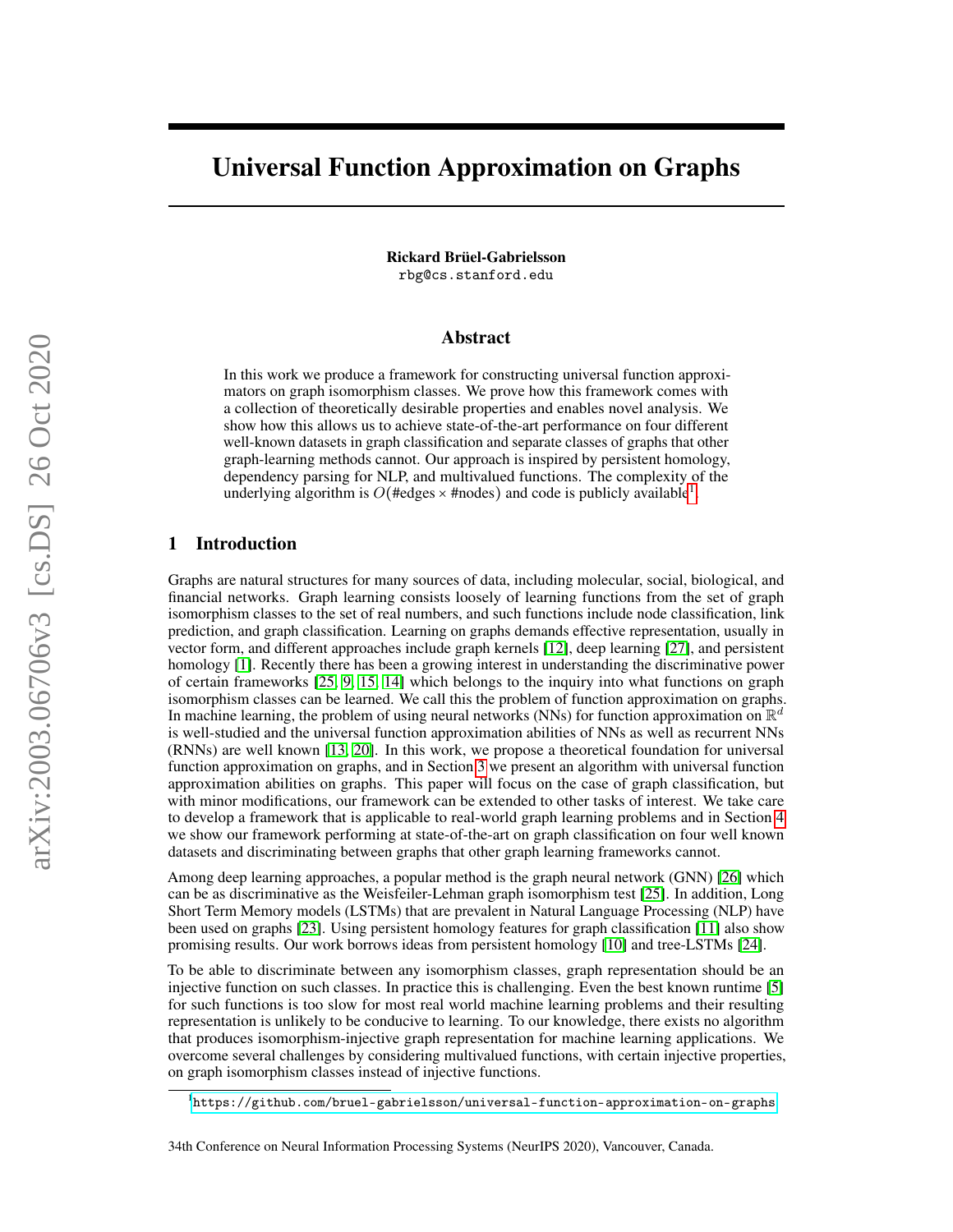# Universal Function Approximation on Graphs

Rickard Brüel-Gabrielsson rbg@cs.stanford.edu

# Abstract

In this work we produce a framework for constructing universal function approximators on graph isomorphism classes. We prove how this framework comes with a collection of theoretically desirable properties and enables novel analysis. We show how this allows us to achieve state-of-the-art performance on four different well-known datasets in graph classification and separate classes of graphs that other graph-learning methods cannot. Our approach is inspired by persistent homology, dependency parsing for NLP, and multivalued functions. The complexity of the underlying algorithm is  $O(\text{#edges} \times \text{#nodes})$  and code is publicly available<sup>[1](#page-0-0)</sup>.

# 1 Introduction

Graphs are natural structures for many sources of data, including molecular, social, biological, and financial networks. Graph learning consists loosely of learning functions from the set of graph isomorphism classes to the set of real numbers, and such functions include node classification, link prediction, and graph classification. Learning on graphs demands effective representation, usually in vector form, and different approaches include graph kernels [\[12\]](#page-9-0), deep learning [\[27\]](#page-10-0), and persistent homology [\[1\]](#page-9-1). Recently there has been a growing interest in understanding the discriminative power of certain frameworks [\[25,](#page-10-1) [9,](#page-9-2) [15,](#page-9-3) [14\]](#page-9-4) which belongs to the inquiry into what functions on graph isomorphism classes can be learned. We call this the problem of function approximation on graphs. In machine learning, the problem of using neural networks (NNs) for function approximation on  $\mathbb{R}^d$ is well-studied and the universal function approximation abilities of NNs as well as recurrent NNs (RNNs) are well known [\[13,](#page-9-5) [20\]](#page-10-2). In this work, we propose a theoretical foundation for universal function approximation on graphs, and in Section [3](#page-4-0) we present an algorithm with universal function approximation abilities on graphs. This paper will focus on the case of graph classification, but with minor modifications, our framework can be extended to other tasks of interest. We take care to develop a framework that is applicable to real-world graph learning problems and in Section [4](#page-7-0) we show our framework performing at state-of-the-art on graph classification on four well known datasets and discriminating between graphs that other graph learning frameworks cannot.

Among deep learning approaches, a popular method is the graph neural network (GNN) [\[26\]](#page-10-3) which can be as discriminative as the Weisfeiler-Lehman graph isomorphism test [\[25\]](#page-10-1). In addition, Long Short Term Memory models (LSTMs) that are prevalent in Natural Language Processing (NLP) have been used on graphs [\[23\]](#page-10-4). Using persistent homology features for graph classification [\[11\]](#page-9-6) also show promising results. Our work borrows ideas from persistent homology [\[10\]](#page-9-7) and tree-LSTMs [\[24\]](#page-10-5).

To be able to discriminate between any isomorphism classes, graph representation should be an injective function on such classes. In practice this is challenging. Even the best known runtime [\[5\]](#page-9-8) for such functions is too slow for most real world machine learning problems and their resulting representation is unlikely to be conducive to learning. To our knowledge, there exists no algorithm that produces isomorphism-injective graph representation for machine learning applications. We overcome several challenges by considering multivalued functions, with certain injective properties, on graph isomorphism classes instead of injective functions.

<span id="page-0-0"></span><sup>1</sup> <https://github.com/bruel-gabrielsson/universal-function-approximation-on-graphs>

<sup>34</sup>th Conference on Neural Information Processing Systems (NeurIPS 2020), Vancouver, Canada.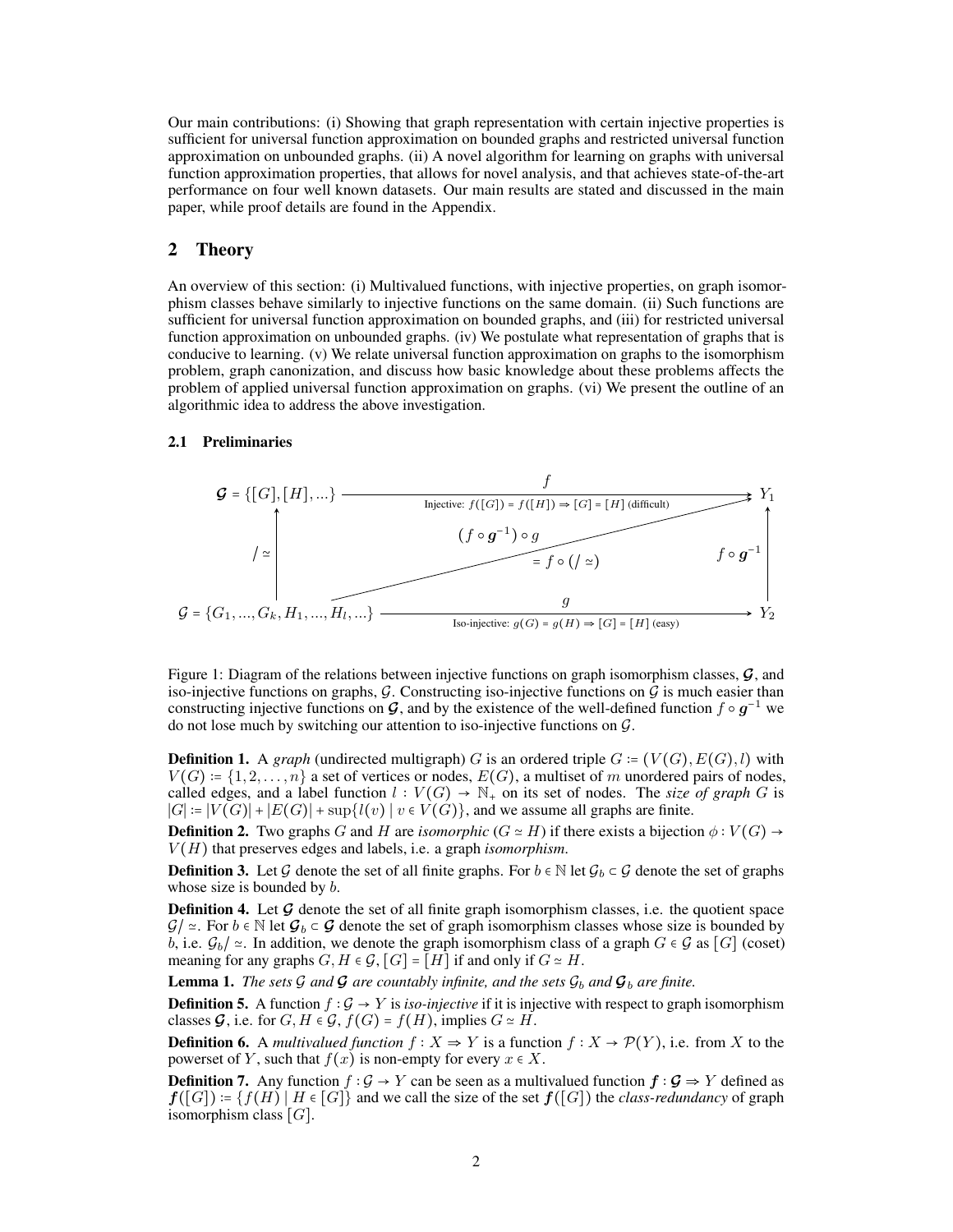Our main contributions: (i) Showing that graph representation with certain injective properties is sufficient for universal function approximation on bounded graphs and restricted universal function approximation on unbounded graphs. (ii) A novel algorithm for learning on graphs with universal function approximation properties, that allows for novel analysis, and that achieves state-of-the-art performance on four well known datasets. Our main results are stated and discussed in the main paper, while proof details are found in the Appendix.

# 2 Theory

An overview of this section: (i) Multivalued functions, with injective properties, on graph isomorphism classes behave similarly to injective functions on the same domain. (ii) Such functions are sufficient for universal function approximation on bounded graphs, and (iii) for restricted universal function approximation on unbounded graphs. (iv) We postulate what representation of graphs that is conducive to learning. (v) We relate universal function approximation on graphs to the isomorphism problem, graph canonization, and discuss how basic knowledge about these problems affects the problem of applied universal function approximation on graphs. (vi) We present the outline of an algorithmic idea to address the above investigation.

### 2.1 Preliminaries



<span id="page-1-0"></span>Figure 1: Diagram of the relations between injective functions on graph isomorphism classes, **G**, and iso-injective functions on graphs,  $G$ . Constructing iso-injective functions on  $\bar{G}$  is much easier than constructing injective functions on **G**, and by the existence of the well-defined function  $f \circ g^{-1}$  we do not lose much by switching our attention to iso-injective functions on  $G$ .

**Definition 1.** A *graph* (undirected multigraph) G is an ordered triple  $G = (V(G), E(G), l)$  with  $V(G)$  :=  $\{1, 2, ..., n\}$  a set of vertices or nodes,  $E(G)$ , a multiset of m unordered pairs of nodes, called edges, and a label function  $l : V(G) \to \mathbb{N}_+$  on its set of nodes. The *size of graph* G is  $|G| := |V(G)| + |E(G)| + \sup\{l(v) | v \in V(G)\}\)$ , and we assume all graphs are finite.

**Definition 2.** Two graphs G and H are *isomorphic*  $(G \simeq H)$  if there exists a bijection  $\phi: V(G) \rightarrow$  $V(H)$  that preserves edges and labels, i.e. a graph *isomorphism*.

**Definition 3.** Let G denote the set of all finite graphs. For  $b \in \mathbb{N}$  let  $\mathcal{G}_b \subset \mathcal{G}$  denote the set of graphs whose size is bounded by  $b$ .

Definition 4. Let **G** denote the set of all finite graph isomorphism classes, i.e. the quotient space  $\mathcal{G}/\simeq$ . For  $b \in \mathbb{N}$  let  $\mathcal{G}_b \subset \mathcal{G}$  denote the set of graph isomorphism classes whose size is bounded by b, i.e.  $G_b$  | ≃. In addition, we denote the graph isomorphism class of a graph  $G \in \mathcal{G}$  as  $[G]$  (coset) meaning for any graphs  $G, H \in \mathcal{G}$ ,  $[G] = [H]$  if and only if  $G \simeq H$ .

<span id="page-1-1"></span>**Lemma 1.** *The sets*  $G$  *and*  $G$  *are countably infinite, and the sets*  $G_b$  *and*  $G_b$  *are finite.* 

Definition 5. A function  $f: \mathcal{G} \to Y$  is *iso-injective* if it is injective with respect to graph isomorphism classes  $\mathcal{G}$ , i.e. for  $G, H \in \mathcal{G}$ ,  $f(G) = f(H)$ , implies  $G \simeq H$ .

**Definition 6.** A *multivalued function*  $f : X \to Y$  is a function  $f : X \to \mathcal{P}(Y)$ , i.e. from X to the powerset of Y, such that  $f(x)$  is non-empty for every  $x \in X$ .

**Definition 7.** Any function  $f : \mathcal{G} \to Y$  can be seen as a multivalued function  $f : \mathcal{G} \to Y$  defined as  $f([G]) = \{f(H) | H \in [G] \}$  and we call the size of the set  $f([G])$  the *class-redundancy* of graph isomorphism class  $[G]$ .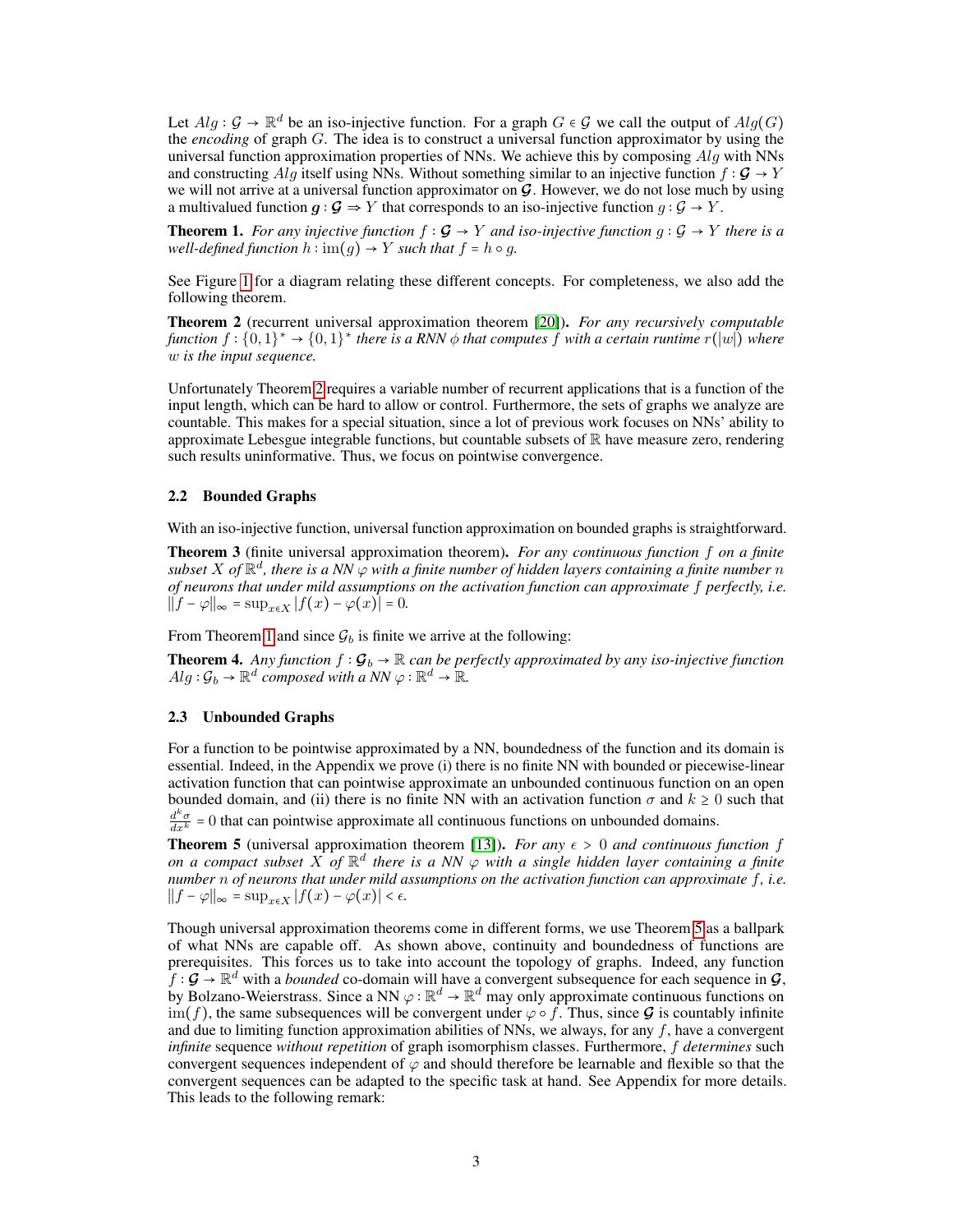Let  $Alg : \mathcal{G} \to \mathbb{R}^d$  be an iso-injective function. For a graph  $G \in \mathcal{G}$  we call the output of  $Alg(G)$ the *encoding* of graph G. The idea is to construct a universal function approximator by using the universal function approximation properties of NNs. We achieve this by composing  $Alq$  with NNs and constructing Alg itself using NNs. Without something similar to an injective function  $f : \mathcal{G} \to Y$ we will not arrive at a universal function approximator on **G**. However, we do not lose much by using a multivalued function  $q : \mathcal{G} \to Y$  that corresponds to an iso-injective function  $q : \mathcal{G} \to Y$ .

<span id="page-2-1"></span>**Theorem 1.** *For any injective function*  $f : \mathcal{G} \to Y$  *and iso-injective function*  $g : \mathcal{G} \to Y$  *there is a well-defined function*  $h : \text{im}(g) \rightarrow Y$  *such that*  $f = h \circ g$ *.* 

See Figure [1](#page-1-0) for a diagram relating these different concepts. For completeness, we also add the following theorem.

<span id="page-2-0"></span>Theorem 2 (recurrent universal approximation theorem [\[20\]](#page-10-2)). *For any recursively computable*  $f$ unction  $f: \{0,1\}^* \to \{0,1\}^*$  there is a RNN  $\phi$  that computes  $f$  with a certain runtime  $r(|w|)$  where w *is the input sequence.*

Unfortunately Theorem [2](#page-2-0) requires a variable number of recurrent applications that is a function of the input length, which can be hard to allow or control. Furthermore, the sets of graphs we analyze are countable. This makes for a special situation, since a lot of previous work focuses on NNs' ability to approximate Lebesgue integrable functions, but countable subsets of  $\mathbb R$  have measure zero, rendering such results uninformative. Thus, we focus on pointwise convergence.

### 2.2 Bounded Graphs

With an iso-injective function, universal function approximation on bounded graphs is straightforward.

<span id="page-2-3"></span>Theorem 3 (finite universal approximation theorem). *For any continuous function* f *on a finite* subset X of  $\mathbb{R}^d$ , there is a NN  $\varphi$  with a finite number of hidden layers containing a finite number  $n$ *of neurons that under mild assumptions on the activation function can approximate* f *perfectly, i.e.*  $||f - \varphi||_{\infty} = \sup_{x \in X} |f(x) - \varphi(x)| = 0.$ 

From Theorem [1](#page-2-1) and since  $G_b$  is finite we arrive at the following:

<span id="page-2-4"></span>**Theorem 4.** Any function  $f : \mathcal{G}_b \to \mathbb{R}$  can be perfectly approximated by any iso-injective function  $Alg : \mathcal{G}_b \to \mathbb{R}^d$  composed with a NN  $\varphi : \mathbb{R}^d \to \mathbb{R}$ .

### 2.3 Unbounded Graphs

For a function to be pointwise approximated by a NN, boundedness of the function and its domain is essential. Indeed, in the Appendix we prove (i) there is no finite NN with bounded or piecewise-linear activation function that can pointwise approximate an unbounded continuous function on an open bounded domain, and (ii) there is no finite NN with an activation function  $\sigma$  and  $k \ge 0$  such that  $\frac{d^k \sigma}{dx^k} = 0$  that can pointwise approximate all continuous functions on unbounded domains.

<span id="page-2-2"></span>**Theorem 5** (universal approximation theorem [\[13\]](#page-9-5)). *For any*  $\epsilon > 0$  *and continuous function f* on a compact subset  $X$  of  $\mathbb{R}^d$  there is a NN  $\varphi$  with a single hidden layer containing a finite *number* n *of neurons that under mild assumptions on the activation function can approximate* f*, i.e.*  $||f - \varphi||_{\infty} = \sup_{x \in X} |f(x) - \varphi(x)| < \epsilon.$ 

Though universal approximation theorems come in different forms, we use Theorem [5](#page-2-2) as a ballpark of what NNs are capable off. As shown above, continuity and boundedness of functions are prerequisites. This forces us to take into account the topology of graphs. Indeed, any function f :  $\mathcal{G} \to \mathbb{R}^d$  with a *bounded* co-domain will have a convergent subsequence for each sequence in  $\mathcal{G}$ , by Bolzano-Weierstrass. Since a NN  $\varphi : \mathbb{R}^d \to \mathbb{R}^d$  may only approximate continuous functions on  $\lim_{h \to 0} f$ , the same subsequences will be convergent under  $\varphi \circ f$ . Thus, since  $\mathcal G$  is countably infinite and due to limiting function approximation abilities of NNs, we always, for any  $f$ , have a convergent *infinite* sequence *without repetition* of graph isomorphism classes. Furthermore, f *determines* such convergent sequences independent of  $\varphi$  and should therefore be learnable and flexible so that the convergent sequences can be adapted to the specific task at hand. See Appendix for more details. This leads to the following remark: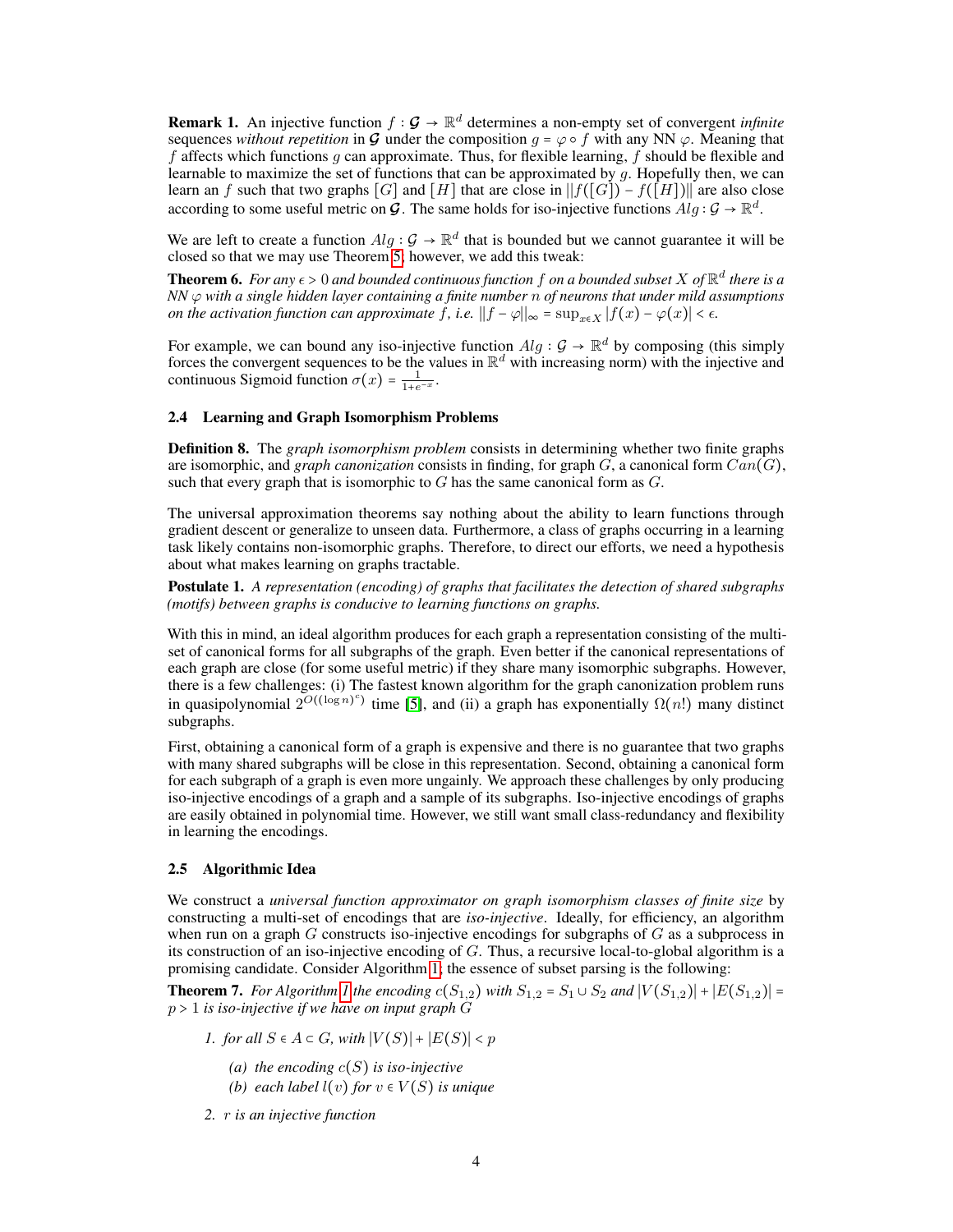<span id="page-3-1"></span>**Remark 1.** An injective function  $f : \mathcal{G} \to \mathbb{R}^d$  determines a non-empty set of convergent *infinite* sequences *without repetition* in **G** under the composition  $q = \varphi \circ f$  with any NN  $\varphi$ . Meaning that f affects which functions q can approximate. Thus, for flexible learning, f should be flexible and learnable to maximize the set of functions that can be approximated by  $g$ . Hopefully then, we can learn an f such that two graphs  $[G]$  and  $[H]$  that are close in  $||f([G]) - f([\overline{H}])||$  are also close according to some useful metric on  $\mathcal{G}$ . The same holds for iso-injective functions  $Alg : \mathcal{G} \to \mathbb{R}^d$ .

We are left to create a function  $Alg : \mathcal{G} \to \mathbb{R}^d$  that is bounded but we cannot guarantee it will be closed so that we may use Theorem [5;](#page-2-2) however, we add this tweak:

<span id="page-3-2"></span>**Theorem 6.** For any  $\epsilon > 0$  and bounded continuous function  $f$  on a bounded subset  $X$  of  $\mathbb{R}^d$  there is a *NN* ϕ *with a single hidden layer containing a finite number* n *of neurons that under mild assumptions on the activation function can approximate* f, *i.e.*  $||f - \varphi||_{\infty} = \sup_{x \in X} |f(x) - \varphi(x)| < \epsilon$ .

For example, we can bound any iso-injective function  $Alg: \mathcal{G} \to \mathbb{R}^d$  by composing (this simply forces the convergent sequences to be the values in  $\mathbb{R}^d$  with increasing norm) with the injective and continuous Sigmoid function  $\sigma(x) = \frac{1}{1+e^{-x}}$ .

### 2.4 Learning and Graph Isomorphism Problems

Definition 8. The *graph isomorphism problem* consists in determining whether two finite graphs are isomorphic, and *graph canonization* consists in finding, for graph  $G$ , a canonical form  $Can(G)$ , such that every graph that is isomorphic to  $G$  has the same canonical form as  $G$ .

The universal approximation theorems say nothing about the ability to learn functions through gradient descent or generalize to unseen data. Furthermore, a class of graphs occurring in a learning task likely contains non-isomorphic graphs. Therefore, to direct our efforts, we need a hypothesis about what makes learning on graphs tractable.

Postulate 1. *A representation (encoding) of graphs that facilitates the detection of shared subgraphs (motifs) between graphs is conducive to learning functions on graphs.*

With this in mind, an ideal algorithm produces for each graph a representation consisting of the multiset of canonical forms for all subgraphs of the graph. Even better if the canonical representations of each graph are close (for some useful metric) if they share many isomorphic subgraphs. However, there is a few challenges: (i) The fastest known algorithm for the graph canonization problem runs in quasipolynomial  $2^{O((\log n)^c)}$  time [\[5\]](#page-9-8), and (ii) a graph has exponentially  $\Omega(n!)$  many distinct subgraphs.

First, obtaining a canonical form of a graph is expensive and there is no guarantee that two graphs with many shared subgraphs will be close in this representation. Second, obtaining a canonical form for each subgraph of a graph is even more ungainly. We approach these challenges by only producing iso-injective encodings of a graph and a sample of its subgraphs. Iso-injective encodings of graphs are easily obtained in polynomial time. However, we still want small class-redundancy and flexibility in learning the encodings.

### 2.5 Algorithmic Idea

We construct a *universal function approximator on graph isomorphism classes of finite size* by constructing a multi-set of encodings that are *iso-injective*. Ideally, for efficiency, an algorithm when run on a graph  $G$  constructs iso-injective encodings for subgraphs of  $G$  as a subprocess in its construction of an iso-injective encoding of G. Thus, a recursive local-to-global algorithm is a promising candidate. Consider Algorithm [1;](#page-4-1) the essence of subset parsing is the following:

**Theorem 7.** *For Algorithm [1](#page-4-1) the encoding*  $c(S_{1,2})$  *with*  $S_{1,2} = S_1 \cup S_2$  *and*  $|V(S_{1,2})| + |E(S_{1,2})| =$ p > 1 *is iso-injective if we have on input graph* G

*1. for all*  $S \in A \subset G$ *, with*  $|V(S)| + |E(S)| < p$ 

- *(a) the encoding* c(S) *is iso-injective*
- *(b) each label*  $l(v)$  *for*  $v \in V(S)$  *is unique*
- <span id="page-3-0"></span>*2.* r *is an injective function*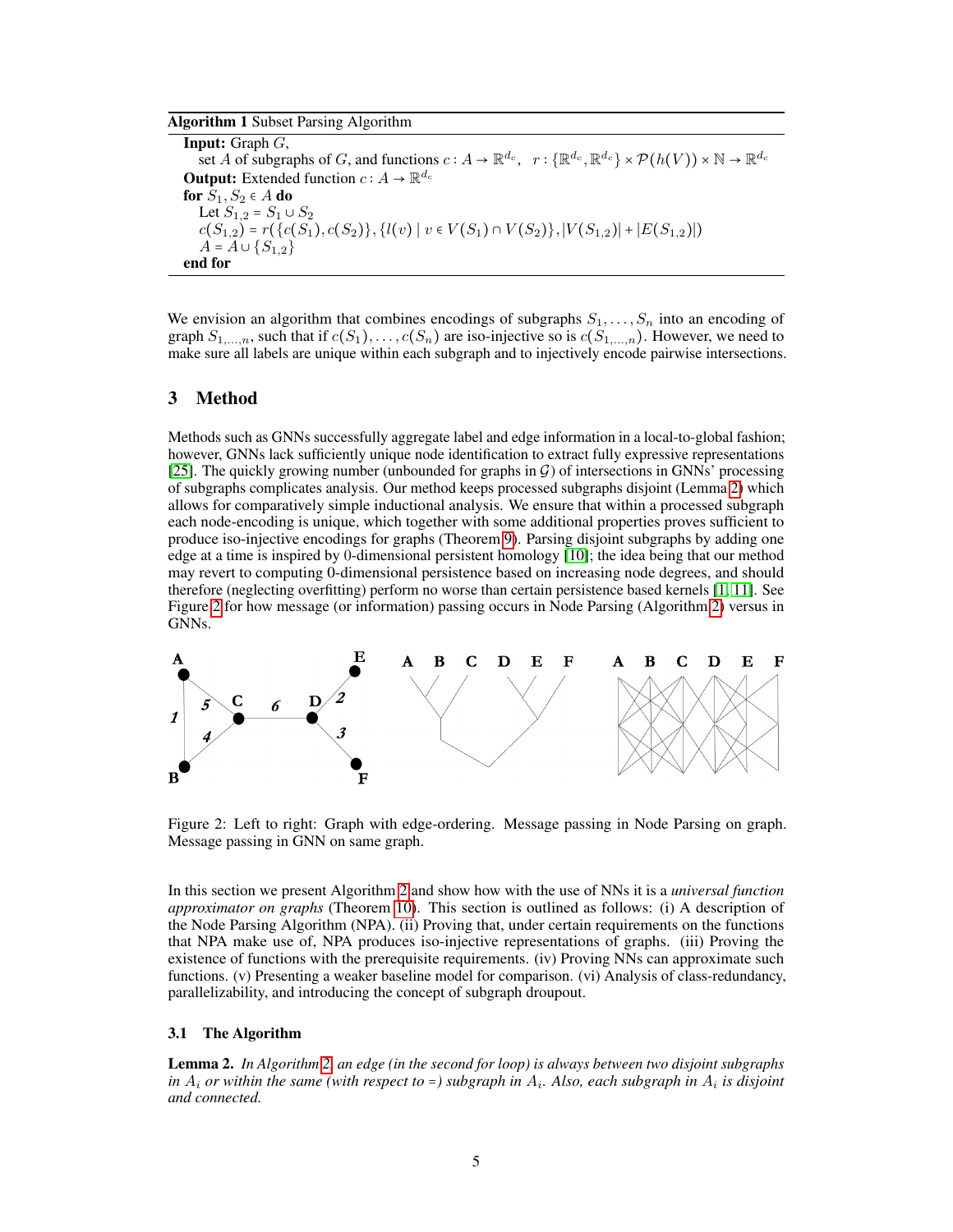### Algorithm 1 Subset Parsing Algorithm

<span id="page-4-1"></span>**Input:** Graph  $G$ , set A of subgraphs of G, and functions  $c: A \to \mathbb{R}^{d_c}$ ,  $r: \{\mathbb{R}^{d_c}, \mathbb{R}^{d_c}\} \times \mathcal{P}(h(V)) \times \mathbb{N} \to \mathbb{R}^{d_c}$ **Output:** Extended function  $c : A \to \mathbb{R}^{d_c}$ for  $S_1, S_2 \in A$  do Let  $S_{1,2} = S_1 \cup S_2$  $c(S_{1,2}) = r({c(S_1), c(S_2)}, {l(v) | v \in V(S_1) \cap V(S_2)}, |V(S_{1,2})| + |E(S_{1,2})|)$  $A = A \cup \{S_{1,2}\}\$ end for

We envision an algorithm that combines encodings of subgraphs  $S_1, \ldots, S_n$  into an encoding of graph  $S_{1,...,n}$ , such that if  $c(S_1), \ldots, c(S_n)$  are iso-injective so is  $c(S_{1,...,n})$ . However, we need to make sure all labels are unique within each subgraph and to injectively encode pairwise intersections.

# <span id="page-4-0"></span>3 Method

Methods such as GNNs successfully aggregate label and edge information in a local-to-global fashion; however, GNNs lack sufficiently unique node identification to extract fully expressive representations [\[25\]](#page-10-1). The quickly growing number (unbounded for graphs in  $G$ ) of intersections in GNNs' processing of subgraphs complicates analysis. Our method keeps processed subgraphs disjoint (Lemma [2\)](#page-4-2) which allows for comparatively simple inductional analysis. We ensure that within a processed subgraph each node-encoding is unique, which together with some additional properties proves sufficient to produce iso-injective encodings for graphs (Theorem [9\)](#page-6-0). Parsing disjoint subgraphs by adding one edge at a time is inspired by 0-dimensional persistent homology [\[10\]](#page-9-7); the idea being that our method may revert to computing 0-dimensional persistence based on increasing node degrees, and should therefore (neglecting overfitting) perform no worse than certain persistence based kernels [\[1,](#page-9-1) [11\]](#page-9-6). See Figure [2](#page-4-3) for how message (or information) passing occurs in Node Parsing (Algorithm [2\)](#page-5-0) versus in GNNs.



<span id="page-4-3"></span>Figure 2: Left to right: Graph with edge-ordering. Message passing in Node Parsing on graph. Message passing in GNN on same graph.

In this section we present Algorithm [2](#page-5-0) and show how with the use of NNs it is a *universal function approximator on graphs* (Theorem [10\)](#page-6-1). This section is outlined as follows: (i) A description of the Node Parsing Algorithm (NPA). (ii) Proving that, under certain requirements on the functions that NPA make use of, NPA produces iso-injective representations of graphs. (iii) Proving the existence of functions with the prerequisite requirements. (iv) Proving NNs can approximate such functions. (v) Presenting a weaker baseline model for comparison. (vi) Analysis of class-redundancy, parallelizability, and introducing the concept of subgraph droupout.

### 3.1 The Algorithm

<span id="page-4-2"></span>Lemma 2. *In Algorithm [2,](#page-5-0) an edge (in the second for loop) is always between two disjoint subgraphs* in  $A_i$  *or within the same (with respect to =) subgraph in*  $A_i$ . Also, each subgraph in  $A_i$  is disjoint *and connected.*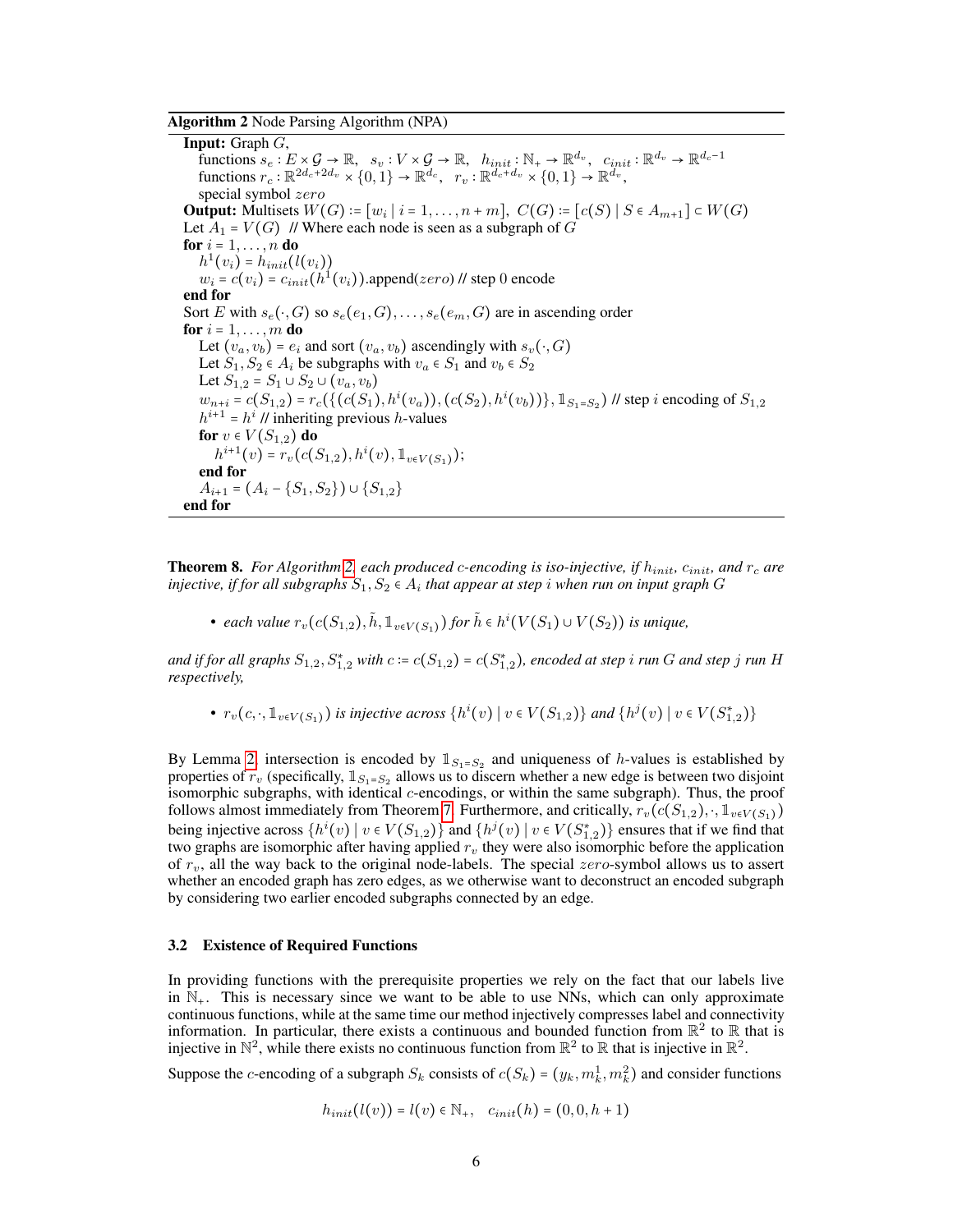Algorithm 2 Node Parsing Algorithm (NPA)

<span id="page-5-0"></span>**Input:** Graph  $G$ , functions  $s_e: E \times \mathcal{G} \to \mathbb{R}$ ,  $s_v: V \times \mathcal{G} \to \mathbb{R}$ ,  $h_{init}: \mathbb{N}_+ \to \mathbb{R}^{d_v}$ ,  $c_{init}: \mathbb{R}^{d_v} \to \mathbb{R}^{d_c-1}$ functions  $r_c : \mathbb{R}^{2d_c+2d_v} \times \{0,1\} \to \mathbb{R}^{d_c}, r_v : \mathbb{R}^{d_c+d_v} \times \{0,1\} \to \mathbb{R}^{d_v},$ special symbol zero **Output:** Multisets  $W(G) := [w_i \mid i = 1, ..., n + m]$ ,  $C(G) := [c(S) \mid S \in A_{m+1}]$  ⊂  $W(G)$ Let  $A_1 = V(G)$  // Where each node is seen as a subgraph of G for  $i = 1, \ldots, n$  do  $h^1(v_i) = h_{init}(l(v_i))$  $w_i = c(v_i) = c_{init}(\hat{h}^1(v_i))$ .append(zero) // step 0 encode end for Sort E with  $s_e(\cdot, G)$  so  $s_e(e_1, G), \ldots, s_e(e_m, G)$  are in ascending order for  $i = 1, \ldots, m$  do Let  $(v_a, v_b) = e_i$  and sort  $(v_a, v_b)$  ascendingly with  $s_v(\cdot, G)$ Let  $S_1, S_2 \in A_i$  be subgraphs with  $v_a \in S_1$  and  $v_b \in S_2$ Let  $S_{1,2} = S_1 \cup S_2 \cup (v_a, v_b)$  $w_{n+i} = c(S_{1,2}) = r_c(\{(c(S_1), h^i(v_a)), (c(S_2), h^i(v_b))\}, 1_{S_1 = S_2})$  // step *i* encoding of  $S_{1,2}$  $h^{i+1} = h^i$  // inheriting previous h-values for  $v \in V(S_{1,2})$  do  $h^{i+1}(v) = r_v(c(S_{1,2}), h^i(v), \mathbb{1}_{v \in V(S_1)})$ ; end for  $A_{i+1} = (A_i - \{S_1, S_2\}) \cup \{S_{1,2}\}\$ end for

<span id="page-5-1"></span>Theorem 8. *For Algorithm [2,](#page-5-0) each produced* c*-encoding is iso-injective, if* hinit*,* cinit*, and* r<sup>c</sup> *are* injective, if for all subgraphs  $S_1, S_2 \in A_i$  that appear at step  $i$  when run on input graph  $G$ 

• *each value*  $r_v(c(S_{1,2}), \tilde{h}, \mathbb{1}_{v \in V(S_1)})$  *for*  $\tilde{h} \in h^i(V(S_1) \cup V(S_2))$  *is unique,* 

and if for all graphs  $S_{1,2}, S^*_{1,2}$  with  $c \coloneqq c(S_{1,2}) = c(S^*_{1,2})$ , encoded at step  $i$  *run*  $G$  *and step*  $j$  *run*  $H$ *respectively,*

•  $r_v(c, \cdot, \mathbb{1}_{v \in V(S_1)})$  *is injective across*  $\{h^i(v) \mid v \in V(S_{1,2})\}$  *and*  $\{h^j(v) \mid v \in V(S_{1,2}^*)\}$ 

By Lemma [2,](#page-4-2) intersection is encoded by  $\mathbb{1}_{S_1 = S_2}$  and uniqueness of *h*-values is established by properties of  $r_v$  (specifically,  $1_{S_1=S_2}$  allows us to discern whether a new edge is between two disjoint isomorphic subgraphs, with identical c-encodings, or within the same subgraph). Thus, the proof follows almost immediately from Theorem [7.](#page-3-0) Furthermore, and critically,  $r_v(c(S_{1,2}), \cdot, 1_{v \in V(S_1)})$ being injective across  $\{h^i(v) \mid v \in V(S_{1,2})\}$  and  $\{h^j(v) \mid v \in V(S_{1,2}^*)\}$  ensures that if we find that two graphs are isomorphic after having applied  $r_v$  they were also isomorphic before the application of  $r_v$ , all the way back to the original node-labels. The special  $zero$ -symbol allows us to assert whether an encoded graph has zero edges, as we otherwise want to deconstruct an encoded subgraph by considering two earlier encoded subgraphs connected by an edge.

### <span id="page-5-2"></span>3.2 Existence of Required Functions

In providing functions with the prerequisite properties we rely on the fact that our labels live in  $\mathbb{N}_+$ . This is necessary since we want to be able to use NNs, which can only approximate continuous functions, while at the same time our method injectively compresses label and connectivity information. In particular, there exists a continuous and bounded function from  $\mathbb{R}^2$  to  $\mathbb R$  that is injective in  $\mathbb{N}^2$ , while there exists no continuous function from  $\mathbb{R}^2$  to  $\mathbb R$  that is injective in  $\mathbb{R}^2$ .

Suppose the *c*-encoding of a subgraph  $S_k$  consists of  $c(S_k) = (y_k, m_k^1, m_k^2)$  and consider functions

$$
h_{init}(l(v)) = l(v) \in \mathbb{N}_+, \quad c_{init}(h) = (0, 0, h + 1)
$$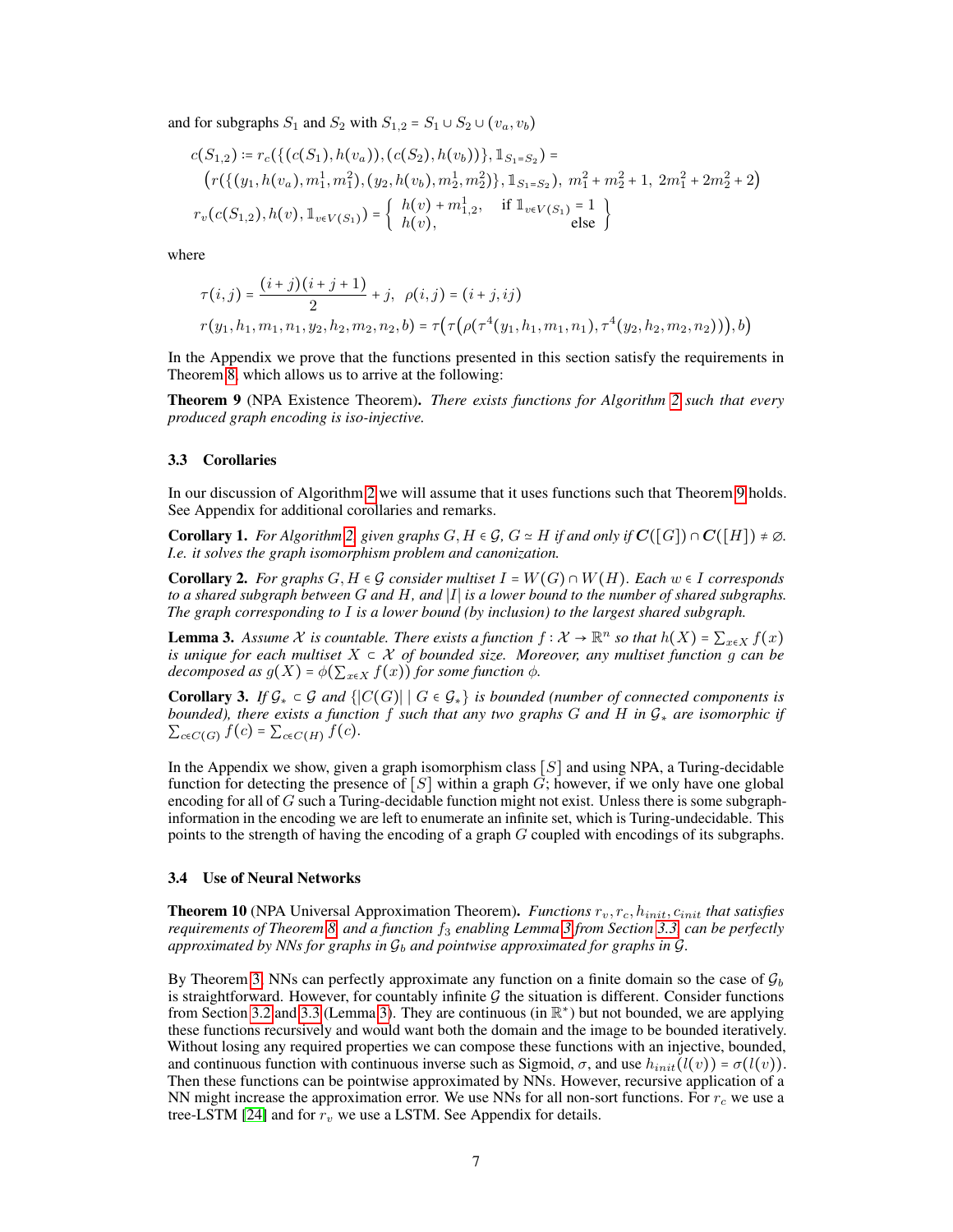and for subgraphs  $S_1$  and  $S_2$  with  $S_{1,2} = S_1 \cup S_2 \cup (v_a, v_b)$ 

$$
c(S_{1,2}) \coloneqq r_c(\{(c(S_1), h(v_a)), (c(S_2), h(v_b))\}, \mathbb{1}_{S_1 = S_2}) =
$$
  
\n
$$
(r(\{(y_1, h(v_a), m_1^1, m_1^2), (y_2, h(v_b), m_2^1, m_2^2)\}, \mathbb{1}_{S_1 = S_2}), m_1^2 + m_2^2 + 1, 2m_1^2 + 2m_2^2 + 2)
$$
  
\n
$$
r_v(c(S_{1,2}), h(v), \mathbb{1}_{v \in V(S_1)}) = \begin{cases} h(v) + m_{1,2}^1, & \text{if } \mathbb{1}_{v \in V(S_1)} = 1 \\ h(v), & \text{else} \end{cases}
$$

where

$$
\tau(i,j) = \frac{(i+j)(i+j+1)}{2} + j, \ \rho(i,j) = (i+j,ij)
$$
  

$$
r(y_1, h_1, m_1, n_1, y_2, h_2, m_2, n_2, b) = \tau(\tau(\rho(\tau^4(y_1, h_1, m_1, n_1), \tau^4(y_2, h_2, m_2, n_2))), b)
$$

In the Appendix we prove that the functions presented in this section satisfy the requirements in Theorem [8,](#page-5-1) which allows us to arrive at the following:

<span id="page-6-0"></span>Theorem 9 (NPA Existence Theorem). *There exists functions for Algorithm [2](#page-5-0) such that every produced graph encoding is iso-injective.*

### <span id="page-6-3"></span>3.3 Corollaries

In our discussion of Algorithm [2](#page-5-0) we will assume that it uses functions such that Theorem [9](#page-6-0) holds. See Appendix for additional corollaries and remarks.

**Corollary 1.** *For Algorithm* [2,](#page-5-0) *given graphs*  $G, H \in \mathcal{G}$ ,  $G \simeq H$  *if and only if*  $\mathbf{C}([G]) \cap \mathbf{C}([H]) \neq \emptyset$ *. I.e. it solves the graph isomorphism problem and canonization.*

**Corollary 2.** For graphs  $G, H \in \mathcal{G}$  consider multiset  $I = W(G) \cap W(H)$ . Each  $w \in I$  corresponds *to a shared subgraph between* G *and* H*, and* ∣I∣ *is a lower bound to the number of shared subgraphs. The graph corresponding to* I *is a lower bound (by inclusion) to the largest shared subgraph.*

<span id="page-6-2"></span>**Lemma 3.** Assume  $\mathcal X$  is countable. There exists a function  $f: \mathcal X \to \mathbb R^n$  so that  $h(X) = \sum_{x \in X} f(x)$ *is unique for each multiset* X ⊂ X *of bounded size. Moreover, any multiset function* g *can be decomposed as*  $g(X) = \phi(\sum_{x \in X} f(x))$  *for some function*  $\phi$ *.* 

**Corollary 3.** *If*  $\mathcal{G}_*$  ⊂  $\mathcal{G}$  *and* { $|C(G)|$  |  $G \in \mathcal{G}_*$ } *is bounded (number of connected components is bounded), there exists a function* f *such that any two graphs* G *and* H *in* G<sup>∗</sup> *are isomorphic if*  $\sum_{c \in C(G)} f(c) = \sum_{c \in C(H)} f(c)$ .

In the Appendix we show, given a graph isomorphism class  $[S]$  and using NPA, a Turing-decidable function for detecting the presence of  $[S]$  within a graph G; however, if we only have one global encoding for all of  $G$  such a Turing-decidable function might not exist. Unless there is some subgraphinformation in the encoding we are left to enumerate an infinite set, which is Turing-undecidable. This points to the strength of having the encoding of a graph  $G$  coupled with encodings of its subgraphs.

#### 3.4 Use of Neural Networks

<span id="page-6-1"></span>**Theorem 10** (NPA Universal Approximation Theorem). *Functions*  $r_v, r_c, h_{init}, c_{init}$  *that satisfies requirements of Theorem [8,](#page-5-1) and a function* f<sup>3</sup> *enabling Lemma [3](#page-6-2) from Section [3.3,](#page-6-3) can be perfectly* approximated by NNs for graphs in  $\mathcal{G}_b$  and pointwise approximated for graphs in  $\mathcal{G}_a$ .

By Theorem [3,](#page-2-3) NNs can perfectly approximate any function on a finite domain so the case of  $\mathcal{G}_b$ is straightforward. However, for countably infinite  $G$  the situation is different. Consider functions from Section [3.2](#page-5-2) and [3.3](#page-6-3) (Lemma [3\)](#page-6-2). They are continuous (in  $\mathbb{R}^*$ ) but not bounded, we are applying these functions recursively and would want both the domain and the image to be bounded iteratively. Without losing any required properties we can compose these functions with an injective, bounded, and continuous function with continuous inverse such as Sigmoid,  $\sigma$ , and use  $h_{init}(l(v)) = \sigma(l(v))$ . Then these functions can be pointwise approximated by NNs. However, recursive application of a NN might increase the approximation error. We use NNs for all non-sort functions. For  $r_c$  we use a tree-LSTM [\[24\]](#page-10-5) and for  $r_v$  we use a LSTM. See Appendix for details.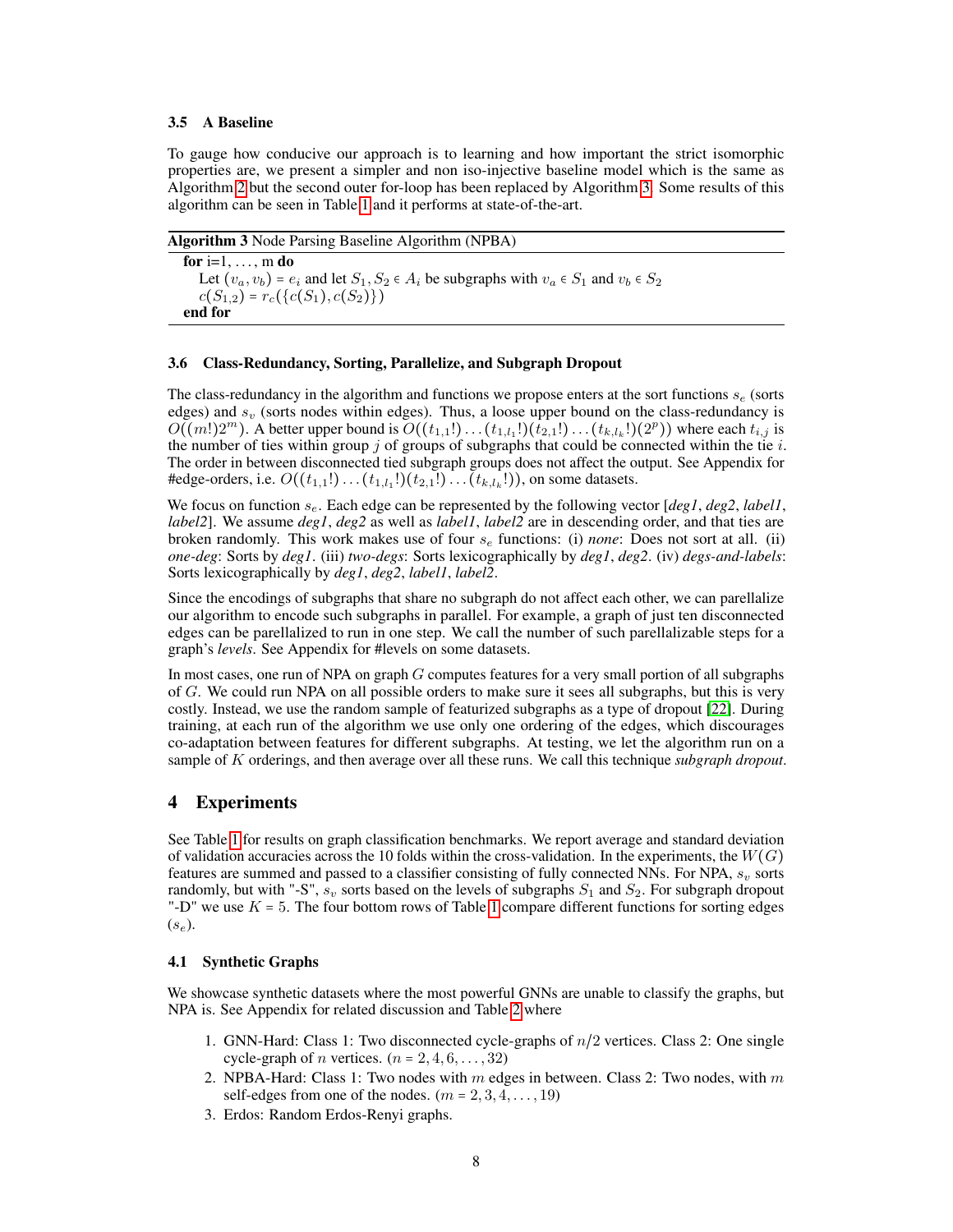#### 3.5 A Baseline

To gauge how conducive our approach is to learning and how important the strict isomorphic properties are, we present a simpler and non iso-injective baseline model which is the same as Algorithm [2](#page-5-0) but the second outer for-loop has been replaced by Algorithm [3.](#page-7-1) Some results of this algorithm can be seen in Table [1](#page-8-0) and it performs at state-of-the-art.

Algorithm 3 Node Parsing Baseline Algorithm (NPBA)

<span id="page-7-1"></span>for i=1,  $\dots$ , m do Let  $(v_a, v_b) = e_i$  and let  $S_1, S_2 \in A_i$  be subgraphs with  $v_a \in S_1$  and  $v_b \in S_2$  $c(S_{1,2}) = r_c({c(S_1), c(S_2)})$ end for

### 3.6 Class-Redundancy, Sorting, Parallelize, and Subgraph Dropout

The class-redundancy in the algorithm and functions we propose enters at the sort functions  $s_e$  (sorts edges) and  $s_v$  (sorts nodes within edges). Thus, a loose upper bound on the class-redundancy is  $O((m!)2^m)$ . A better upper bound is  $O((t_{1,1}!)... (t_{1,l_1}!)(t_{2,1}!)...(t_{k,l_k}!)(2^p))$  where each  $t_{i,j}$  is the number of ties within group j of groups of subgraphs that could be connected within the tie i. The order in between disconnected tied subgraph groups does not affect the output. See Appendix for #edge-orders, i.e.  $O((t_{1,1}!) \dots (t_{1,l_1}!)(t_{2,1}!) \dots (t_{k,l_k}!))$ , on some datasets.

We focus on function se. Each edge can be represented by the following vector [*deg1*, *deg2*, *label1*, *label2*]. We assume *deg1*, *deg2* as well as *label1*, *label2* are in descending order, and that ties are broken randomly. This work makes use of four s<sup>e</sup> functions: (i) *none*: Does not sort at all. (ii) *one-deg*: Sorts by *deg1*. (iii) *two-degs*: Sorts lexicographically by *deg1*, *deg2*. (iv) *degs-and-labels*: Sorts lexicographically by *deg1*, *deg2*, *label1*, *label2*.

Since the encodings of subgraphs that share no subgraph do not affect each other, we can parellalize our algorithm to encode such subgraphs in parallel. For example, a graph of just ten disconnected edges can be parellalized to run in one step. We call the number of such parellalizable steps for a graph's *levels*. See Appendix for #levels on some datasets.

In most cases, one run of NPA on graph  $G$  computes features for a very small portion of all subgraphs of G. We could run NPA on all possible orders to make sure it sees all subgraphs, but this is very costly. Instead, we use the random sample of featurized subgraphs as a type of dropout [\[22\]](#page-10-6). During training, at each run of the algorithm we use only one ordering of the edges, which discourages co-adaptation between features for different subgraphs. At testing, we let the algorithm run on a sample of K orderings, and then average over all these runs. We call this technique *subgraph dropout*.

# <span id="page-7-0"></span>4 Experiments

See Table [1](#page-8-0) for results on graph classification benchmarks. We report average and standard deviation of validation accuracies across the 10 folds within the cross-validation. In the experiments, the  $W(G)$ features are summed and passed to a classifier consisting of fully connected NNs. For NPA,  $s<sub>v</sub>$  sorts randomly, but with "-S",  $s_v$  sorts based on the levels of subgraphs  $S_1$  and  $S_2$ . For subgraph dropout "-D" we use  $K = 5$ . The four bottom rows of Table [1](#page-8-0) compare different functions for sorting edges  $(s_e)$ .

### 4.1 Synthetic Graphs

We showcase synthetic datasets where the most powerful GNNs are unable to classify the graphs, but NPA is. See Appendix for related discussion and Table [2](#page-8-1) where

- 1. GNN-Hard: Class 1: Two disconnected cycle-graphs of  $n/2$  vertices. Class 2: One single cycle-graph of *n* vertices.  $(n = 2, 4, 6, \ldots, 32)$
- 2. NPBA-Hard: Class 1: Two nodes with  $m$  edges in between. Class 2: Two nodes, with  $m$ self-edges from one of the nodes.  $(m = 2, 3, 4, \ldots, 19)$
- 3. Erdos: Random Erdos-Renyi graphs.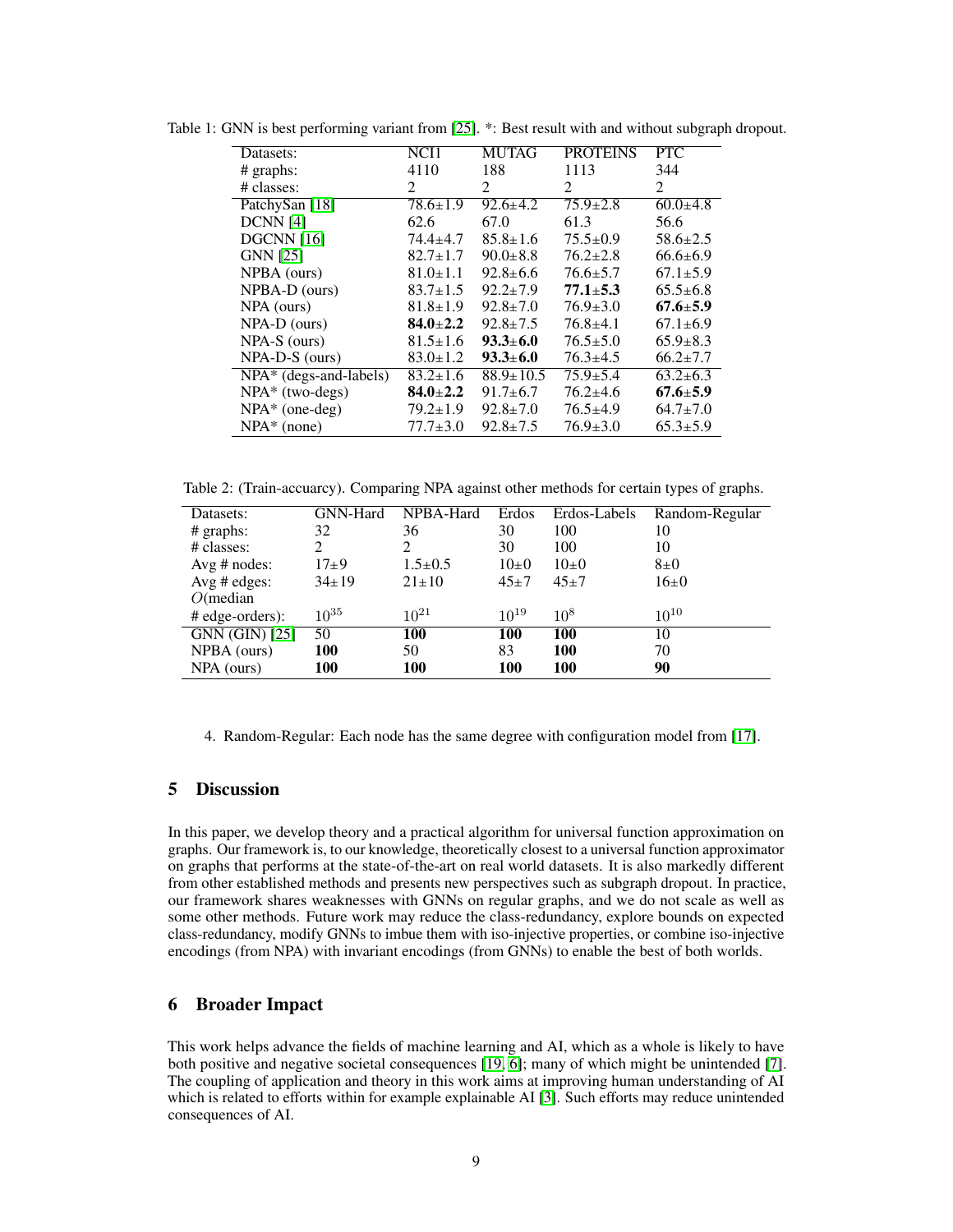| Datasets:                | NCI1                    | <b>MUTAG</b>    | <b>PROTEINS</b>             | <b>PTC</b>     |
|--------------------------|-------------------------|-----------------|-----------------------------|----------------|
| $#$ graphs:              | 4110                    | 188             | 1113                        | 344            |
| # classes:               | $\mathfrak{D}$          | 2               | $\mathcal{D}_{\mathcal{L}}$ | $\mathfrak{D}$ |
| PatchySan [18]           | $78.6 \pm 1.9$          | $92.6 \pm 4.2$  | $75.9 \pm 2.8$              | $60.0+4.8$     |
| DCNN[4]                  | 62.6                    | 67.0            | 61.3                        | 56.6           |
| <b>DGCNN</b> [16]        | $74.4 \pm 4.7$          | $85.8 \pm 1.6$  | $75.5 \pm 0.9$              | $58.6 \pm 2.5$ |
| <b>GNN</b> [25]          | $82.7 \pm 1.7$          | $90.0 \pm 8.8$  | $76.2 \pm 2.8$              | $66.6 \pm 6.9$ |
| NPBA (ours)              | $81.0 \pm 1.1$          | $92.8 \pm 6.6$  | $76.6 \pm 5.7$              | $67.1 \pm 5.9$ |
| NPBA-D (ours)            | $83.7 \pm 1.5$          | $92.2 \pm 7.9$  | $77.1 \pm 5.3$              | $65.5 \pm 6.8$ |
| NPA (ours)               | $81.8 \pm 1.9$          | $92.8 \pm 7.0$  | $76.9 \pm 3.0$              | $67.6 \pm 5.9$ |
| $NPA-D$ (ours)           | $84.0 \pm 2.2$          | $92.8 \pm 7.5$  | $76.8 \pm 4.1$              | $67.1 \pm 6.9$ |
| $NPA-S$ (ours)           | $81.5 \pm 1.6$          | $93.3 \pm 6.0$  | $76.5 \pm 5.0$              | $65.9 \pm 8.3$ |
| NPA-D-S (ours)           | $83.0 \pm 1.2$          | $93.3 \pm 6.0$  | $76.3 \pm 4.5$              | $66.2 \pm 7.7$ |
| $NPA*$ (degs-and-labels) | $\overline{83.2}$ ± 1.6 | $88.9 \pm 10.5$ | $75.9 \pm 5.4$              | $63.2 \pm 6.3$ |
| $NPA*$ (two-degs)        | $84.0 \pm 2.2$          | $91.7 \pm 6.7$  | $76.2 \pm 4.6$              | $67.6 \pm 5.9$ |
| $NPA*$ (one-deg)         | $79.2 \pm 1.9$          | $92.8 \pm 7.0$  | $76.5 \pm 4.9$              | $64.7 \pm 7.0$ |
| $NPA*$ (none)            | $77.7 \pm 3.0$          | $92.8 \pm 7.5$  | $76.9 \pm 3.0$              | $65.3 \pm 5.9$ |

<span id="page-8-0"></span>Table 1: GNN is best performing variant from [\[25\]](#page-10-1). \*: Best result with and without subgraph dropout.

<span id="page-8-1"></span>Table 2: (Train-accuarcy). Comparing NPA against other methods for certain types of graphs.

| Datasets:         | GNN-Hard    | NPBA-Hard     | Erdos     | Erdos-Labels | Random-Regular |
|-------------------|-------------|---------------|-----------|--------------|----------------|
| $#$ graphs:       | 32          | 36            | 30        | 100          | 10             |
| # classes:        | 2           | 2             | 30        | 100          | 10             |
| Avg $#$ nodes:    | $17+9$      | $1.5 \pm 0.5$ | $10\pm 0$ | $10\pm 0$    | $8\pm0$        |
| Avg $\#$ edges:   | $34 \pm 19$ | $21 \pm 10$   | $45+7$    | $45+7$       | $16\pm0$       |
| $O$ (median       |             |               |           |              |                |
| $#$ edge-orders): | $10^{35}$   | $10^{21}$     | $10^{19}$ | $10^{8}$     | $10^{10}$      |
| $GNN$ (GIN) [25]  | 50          | 100           | 100       | 100          | 10             |
| NPBA (ours)       | 100         | 50            | 83        | <b>100</b>   | 70             |
| NPA (ours)        | 100         | <b>100</b>    | 100       | 100          | 90             |

4. Random-Regular: Each node has the same degree with configuration model from [\[17\]](#page-10-9).

# 5 Discussion

In this paper, we develop theory and a practical algorithm for universal function approximation on graphs. Our framework is, to our knowledge, theoretically closest to a universal function approximator on graphs that performs at the state-of-the-art on real world datasets. It is also markedly different from other established methods and presents new perspectives such as subgraph dropout. In practice, our framework shares weaknesses with GNNs on regular graphs, and we do not scale as well as some other methods. Future work may reduce the class-redundancy, explore bounds on expected class-redundancy, modify GNNs to imbue them with iso-injective properties, or combine iso-injective encodings (from NPA) with invariant encodings (from GNNs) to enable the best of both worlds.

# 6 Broader Impact

This work helps advance the fields of machine learning and AI, which as a whole is likely to have both positive and negative societal consequences [\[19,](#page-10-10) [6\]](#page-9-10); many of which might be unintended [\[7\]](#page-9-11). The coupling of application and theory in this work aims at improving human understanding of AI which is related to efforts within for example explainable AI [\[3\]](#page-9-12). Such efforts may reduce unintended consequences of AI.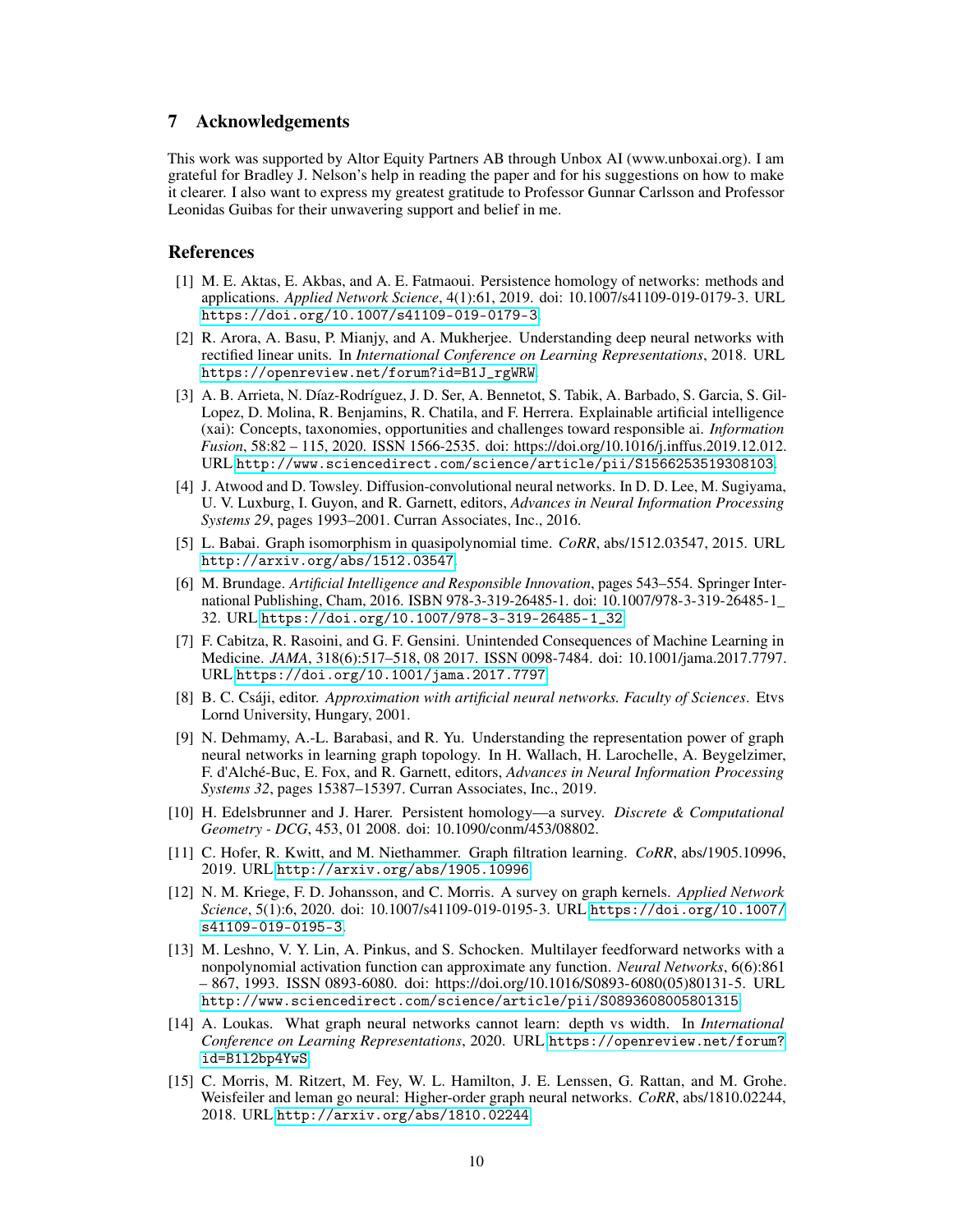# 7 Acknowledgements

This work was supported by Altor Equity Partners AB through Unbox AI (www.unboxai.org). I am grateful for Bradley J. Nelson's help in reading the paper and for his suggestions on how to make it clearer. I also want to express my greatest gratitude to Professor Gunnar Carlsson and Professor Leonidas Guibas for their unwavering support and belief in me.

### References

- <span id="page-9-1"></span>[1] M. E. Aktas, E. Akbas, and A. E. Fatmaoui. Persistence homology of networks: methods and applications. *Applied Network Science*, 4(1):61, 2019. doi: 10.1007/s41109-019-0179-3. URL <https://doi.org/10.1007/s41109-019-0179-3>.
- <span id="page-9-13"></span>[2] R. Arora, A. Basu, P. Mianjy, and A. Mukherjee. Understanding deep neural networks with rectified linear units. In *International Conference on Learning Representations*, 2018. URL [https://openreview.net/forum?id=B1J\\_rgWRW](https://openreview.net/forum?id=B1J_rgWRW).
- <span id="page-9-12"></span>[3] A. B. Arrieta, N. Díaz-Rodríguez, J. D. Ser, A. Bennetot, S. Tabik, A. Barbado, S. Garcia, S. Gil-Lopez, D. Molina, R. Benjamins, R. Chatila, and F. Herrera. Explainable artificial intelligence (xai): Concepts, taxonomies, opportunities and challenges toward responsible ai. *Information Fusion*, 58:82 – 115, 2020. ISSN 1566-2535. doi: https://doi.org/10.1016/j.inffus.2019.12.012. URL <http://www.sciencedirect.com/science/article/pii/S1566253519308103>.
- <span id="page-9-9"></span>[4] J. Atwood and D. Towsley. Diffusion-convolutional neural networks. In D. D. Lee, M. Sugiyama, U. V. Luxburg, I. Guyon, and R. Garnett, editors, *Advances in Neural Information Processing Systems 29*, pages 1993–2001. Curran Associates, Inc., 2016.
- <span id="page-9-8"></span>[5] L. Babai. Graph isomorphism in quasipolynomial time. *CoRR*, abs/1512.03547, 2015. URL <http://arxiv.org/abs/1512.03547>.
- <span id="page-9-10"></span>[6] M. Brundage. *Artificial Intelligence and Responsible Innovation*, pages 543–554. Springer International Publishing, Cham, 2016. ISBN 978-3-319-26485-1. doi: 10.1007/978-3-319-26485-1\_ 32. URL [https://doi.org/10.1007/978-3-319-26485-1\\_32](https://doi.org/10.1007/978-3-319-26485-1_32).
- <span id="page-9-11"></span>[7] F. Cabitza, R. Rasoini, and G. F. Gensini. Unintended Consequences of Machine Learning in Medicine. *JAMA*, 318(6):517–518, 08 2017. ISSN 0098-7484. doi: 10.1001/jama.2017.7797. URL <https://doi.org/10.1001/jama.2017.7797>.
- <span id="page-9-14"></span>[8] B. C. Csáji, editor. *Approximation with artificial neural networks. Faculty of Sciences*. Etvs Lornd University, Hungary, 2001.
- <span id="page-9-2"></span>[9] N. Dehmamy, A.-L. Barabasi, and R. Yu. Understanding the representation power of graph neural networks in learning graph topology. In H. Wallach, H. Larochelle, A. Beygelzimer, F. d'Alché-Buc, E. Fox, and R. Garnett, editors, *Advances in Neural Information Processing Systems 32*, pages 15387–15397. Curran Associates, Inc., 2019.
- <span id="page-9-7"></span>[10] H. Edelsbrunner and J. Harer. Persistent homology—a survey. *Discrete & Computational Geometry - DCG*, 453, 01 2008. doi: 10.1090/conm/453/08802.
- <span id="page-9-6"></span>[11] C. Hofer, R. Kwitt, and M. Niethammer. Graph filtration learning. *CoRR*, abs/1905.10996, 2019. URL <http://arxiv.org/abs/1905.10996>.
- <span id="page-9-0"></span>[12] N. M. Kriege, F. D. Johansson, and C. Morris. A survey on graph kernels. *Applied Network Science*, 5(1):6, 2020. doi: 10.1007/s41109-019-0195-3. URL [https://doi.org/10.1007/](https://doi.org/10.1007/s41109-019-0195-3) [s41109-019-0195-3](https://doi.org/10.1007/s41109-019-0195-3).
- <span id="page-9-5"></span>[13] M. Leshno, V. Y. Lin, A. Pinkus, and S. Schocken. Multilayer feedforward networks with a nonpolynomial activation function can approximate any function. *Neural Networks*, 6(6):861 – 867, 1993. ISSN 0893-6080. doi: https://doi.org/10.1016/S0893-6080(05)80131-5. URL <http://www.sciencedirect.com/science/article/pii/S0893608005801315>.
- <span id="page-9-4"></span>[14] A. Loukas. What graph neural networks cannot learn: depth vs width. In *International Conference on Learning Representations*, 2020. URL [https://openreview.net/forum?](https://openreview.net/forum?id=B1l2bp4YwS) [id=B1l2bp4YwS](https://openreview.net/forum?id=B1l2bp4YwS).
- <span id="page-9-3"></span>[15] C. Morris, M. Ritzert, M. Fey, W. L. Hamilton, J. E. Lenssen, G. Rattan, and M. Grohe. Weisfeiler and leman go neural: Higher-order graph neural networks. *CoRR*, abs/1810.02244, 2018. URL <http://arxiv.org/abs/1810.02244>.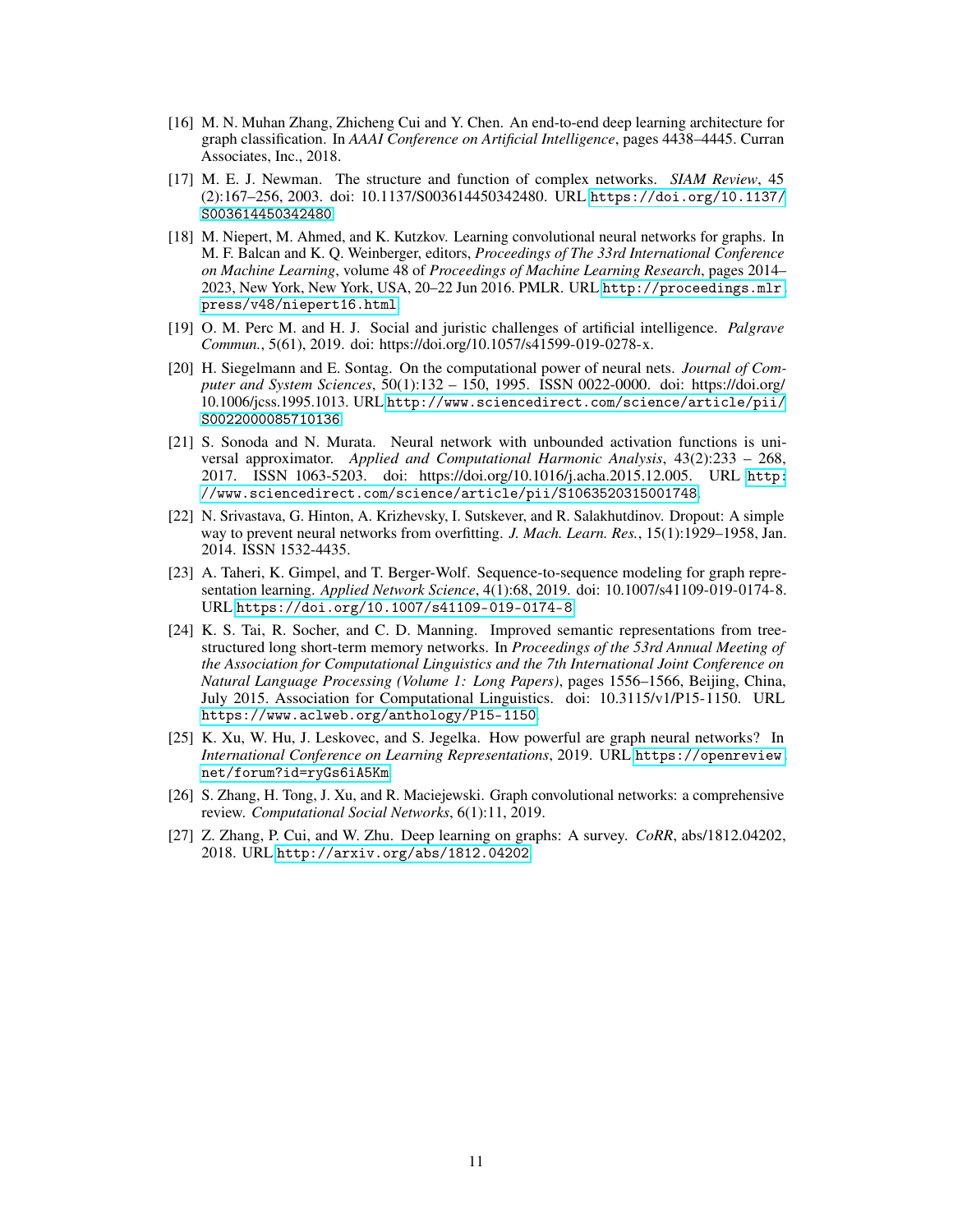- <span id="page-10-8"></span>[16] M. N. Muhan Zhang, Zhicheng Cui and Y. Chen. An end-to-end deep learning architecture for graph classification. In *AAAI Conference on Artificial Intelligence*, pages 4438–4445. Curran Associates, Inc., 2018.
- <span id="page-10-9"></span>[17] M. E. J. Newman. The structure and function of complex networks. *SIAM Review*, 45 (2):167–256, 2003. doi: 10.1137/S003614450342480. URL [https://doi.org/10.1137/](https://doi.org/10.1137/S003614450342480) [S003614450342480](https://doi.org/10.1137/S003614450342480).
- <span id="page-10-7"></span>[18] M. Niepert, M. Ahmed, and K. Kutzkov. Learning convolutional neural networks for graphs. In M. F. Balcan and K. Q. Weinberger, editors, *Proceedings of The 33rd International Conference on Machine Learning*, volume 48 of *Proceedings of Machine Learning Research*, pages 2014– 2023, New York, New York, USA, 20–22 Jun 2016. PMLR. URL [http://proceedings.mlr.](http://proceedings.mlr.press/v48/niepert16.html) [press/v48/niepert16.html](http://proceedings.mlr.press/v48/niepert16.html).
- <span id="page-10-10"></span>[19] O. M. Perc M. and H. J. Social and juristic challenges of artificial intelligence. *Palgrave Commun.*, 5(61), 2019. doi: https://doi.org/10.1057/s41599-019-0278-x.
- <span id="page-10-2"></span>[20] H. Siegelmann and E. Sontag. On the computational power of neural nets. *Journal of Computer and System Sciences*, 50(1):132 – 150, 1995. ISSN 0022-0000. doi: https://doi.org/ 10.1006/jcss.1995.1013. URL [http://www.sciencedirect.com/science/article/pii/](http://www.sciencedirect.com/science/article/pii/S0022000085710136) [S0022000085710136](http://www.sciencedirect.com/science/article/pii/S0022000085710136).
- <span id="page-10-11"></span>[21] S. Sonoda and N. Murata. Neural network with unbounded activation functions is universal approximator. *Applied and Computational Harmonic Analysis*, 43(2):233 – 268, 2017. ISSN 1063-5203. doi: https://doi.org/10.1016/j.acha.2015.12.005. URL [http:](http://www.sciencedirect.com/science/article/pii/S1063520315001748) [//www.sciencedirect.com/science/article/pii/S1063520315001748](http://www.sciencedirect.com/science/article/pii/S1063520315001748).
- <span id="page-10-6"></span>[22] N. Srivastava, G. Hinton, A. Krizhevsky, I. Sutskever, and R. Salakhutdinov. Dropout: A simple way to prevent neural networks from overfitting. *J. Mach. Learn. Res.*, 15(1):1929–1958, Jan. 2014. ISSN 1532-4435.
- <span id="page-10-4"></span>[23] A. Taheri, K. Gimpel, and T. Berger-Wolf. Sequence-to-sequence modeling for graph representation learning. *Applied Network Science*, 4(1):68, 2019. doi: 10.1007/s41109-019-0174-8. URL <https://doi.org/10.1007/s41109-019-0174-8>.
- <span id="page-10-5"></span>[24] K. S. Tai, R. Socher, and C. D. Manning. Improved semantic representations from treestructured long short-term memory networks. In *Proceedings of the 53rd Annual Meeting of the Association for Computational Linguistics and the 7th International Joint Conference on Natural Language Processing (Volume 1: Long Papers)*, pages 1556–1566, Beijing, China, July 2015. Association for Computational Linguistics. doi: 10.3115/v1/P15-1150. URL <https://www.aclweb.org/anthology/P15-1150>.
- <span id="page-10-1"></span>[25] K. Xu, W. Hu, J. Leskovec, and S. Jegelka. How powerful are graph neural networks? In *International Conference on Learning Representations*, 2019. URL [https://openreview.](https://openreview.net/forum?id=ryGs6iA5Km) [net/forum?id=ryGs6iA5Km](https://openreview.net/forum?id=ryGs6iA5Km).
- <span id="page-10-3"></span>[26] S. Zhang, H. Tong, J. Xu, and R. Maciejewski. Graph convolutional networks: a comprehensive review. *Computational Social Networks*, 6(1):11, 2019.
- <span id="page-10-0"></span>[27] Z. Zhang, P. Cui, and W. Zhu. Deep learning on graphs: A survey. *CoRR*, abs/1812.04202, 2018. URL <http://arxiv.org/abs/1812.04202>.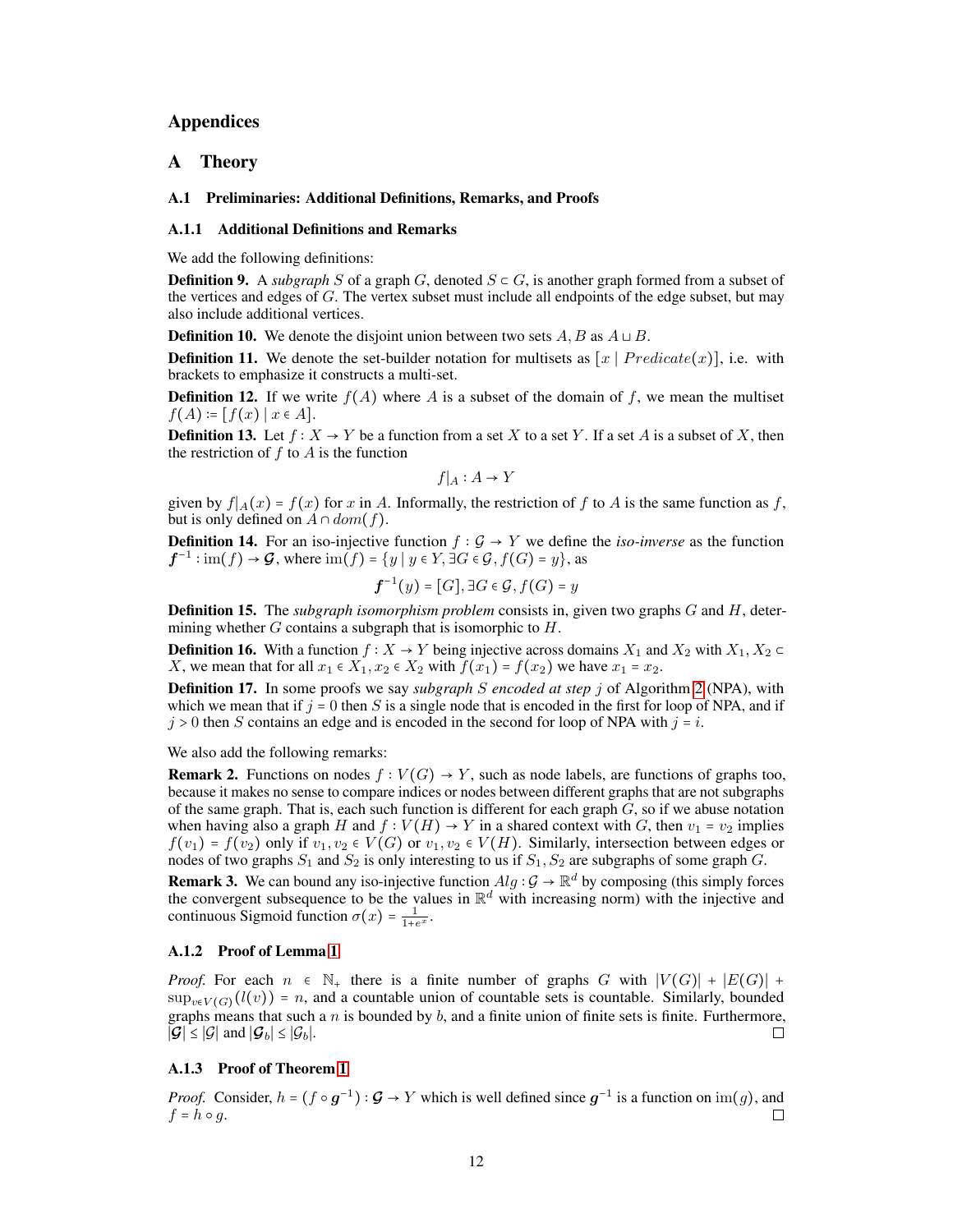# Appendices

# A Theory

### A.1 Preliminaries: Additional Definitions, Remarks, and Proofs

### A.1.1 Additional Definitions and Remarks

We add the following definitions:

**Definition 9.** A *subgraph* S of a graph G, denoted  $S \subset G$ , is another graph formed from a subset of the vertices and edges of G. The vertex subset must include all endpoints of the edge subset, but may also include additional vertices.

**Definition 10.** We denote the disjoint union between two sets A, B as  $A \sqcup B$ .

**Definition 11.** We denote the set-builder notation for multisets as  $[x \mid Predictate(x)]$ , i.e. with brackets to emphasize it constructs a multi-set.

**Definition 12.** If we write  $f(A)$  where A is a subset of the domain of f, we mean the multiset  $f(A) = [f(x) | x \in A].$ 

**Definition 13.** Let  $f : X \to Y$  be a function from a set X to a set Y. If a set A is a subset of X, then the restriction of  $f$  to  $A$  is the function

$$
f|_A: A \to Y
$$

given by  $f|_A(x) = f(x)$  for x in A. Informally, the restriction of f to A is the same function as f, but is only defined on  $A \cap dom(f)$ .

**Definition 14.** For an iso-injective function  $f : \mathcal{G} \to Y$  we define the *iso-inverse* as the function  $f^{-1}: \text{im}(f) \to \mathcal{G}$ , where  $\text{im}(f) = \{y \mid y \in Y, \exists G \in \mathcal{G}, f(G) = y\}$ , as

$$
\boldsymbol{f}^{-1}(y) = [G], \exists G \in \mathcal{G}, f(G) = y
$$

Definition 15. The *subgraph isomorphism problem* consists in, given two graphs G and H, determining whether  $G$  contains a subgraph that is isomorphic to  $H$ .

**Definition 16.** With a function  $f : X \to Y$  being injective across domains  $X_1$  and  $X_2$  with  $X_1, X_2 \subset Y$ X, we mean that for all  $x_1 \in X_1$ ,  $x_2 \in X_2$  with  $f(x_1) = f(x_2)$  we have  $x_1 = x_2$ .

Definition 17. In some proofs we say *subgraph* S *encoded at step* j of Algorithm [2](#page-5-0) (NPA), with which we mean that if  $j = 0$  then S is a single node that is encoded in the first for loop of NPA, and if  $j > 0$  then S contains an edge and is encoded in the second for loop of NPA with  $j = i$ .

We also add the following remarks:

**Remark 2.** Functions on nodes  $f : V(G) \to Y$ , such as node labels, are functions of graphs too, because it makes no sense to compare indices or nodes between different graphs that are not subgraphs of the same graph. That is, each such function is different for each graph  $G$ , so if we abuse notation when having also a graph H and  $f : V(H) \to Y$  in a shared context with G, then  $v_1 = v_2$  implies  $f(v_1) = f(v_2)$  only if  $v_1, v_2 \in V(G)$  or  $v_1, v_2 \in V(H)$ . Similarly, intersection between edges or nodes of two graphs  $S_1$  and  $S_2$  is only interesting to us if  $S_1$ ,  $S_2$  are subgraphs of some graph G.

**Remark 3.** We can bound any iso-injective function  $Alg : \mathcal{G} \to \mathbb{R}^d$  by composing (this simply forces the convergent subsequence to be the values in  $\mathbb{R}^d$  with increasing norm) with the injective and continuous Sigmoid function  $\sigma(x) = \frac{1}{1+e^x}$ .

### A.1.2 Proof of Lemma [1](#page-1-1)

*Proof.* For each  $n \in \mathbb{N}_+$  there is a finite number of graphs G with  $|V(G)| + |E(G)| +$  $\sup_{v \in V(G)} (l(v)) = n$ , and a countable union of countable sets is countable. Similarly, bounded graphs means that such a  $n$  is bounded by  $b$ , and a finite union of finite sets is finite. Furthermore,  $|\mathcal{G}|$  ≤ | $\mathcal{G}|$  and  $|\mathcal{G}_b|$  ≤ | $\mathcal{G}_b$ |. П

# A.1.3 Proof of Theorem [1](#page-2-1)

*Proof.* Consider,  $h = (f \circ g^{-1}) : \mathcal{G} \to Y$  which is well defined since  $g^{-1}$  is a function on  $\text{im}(g)$ , and  $f = h \circ q$ . П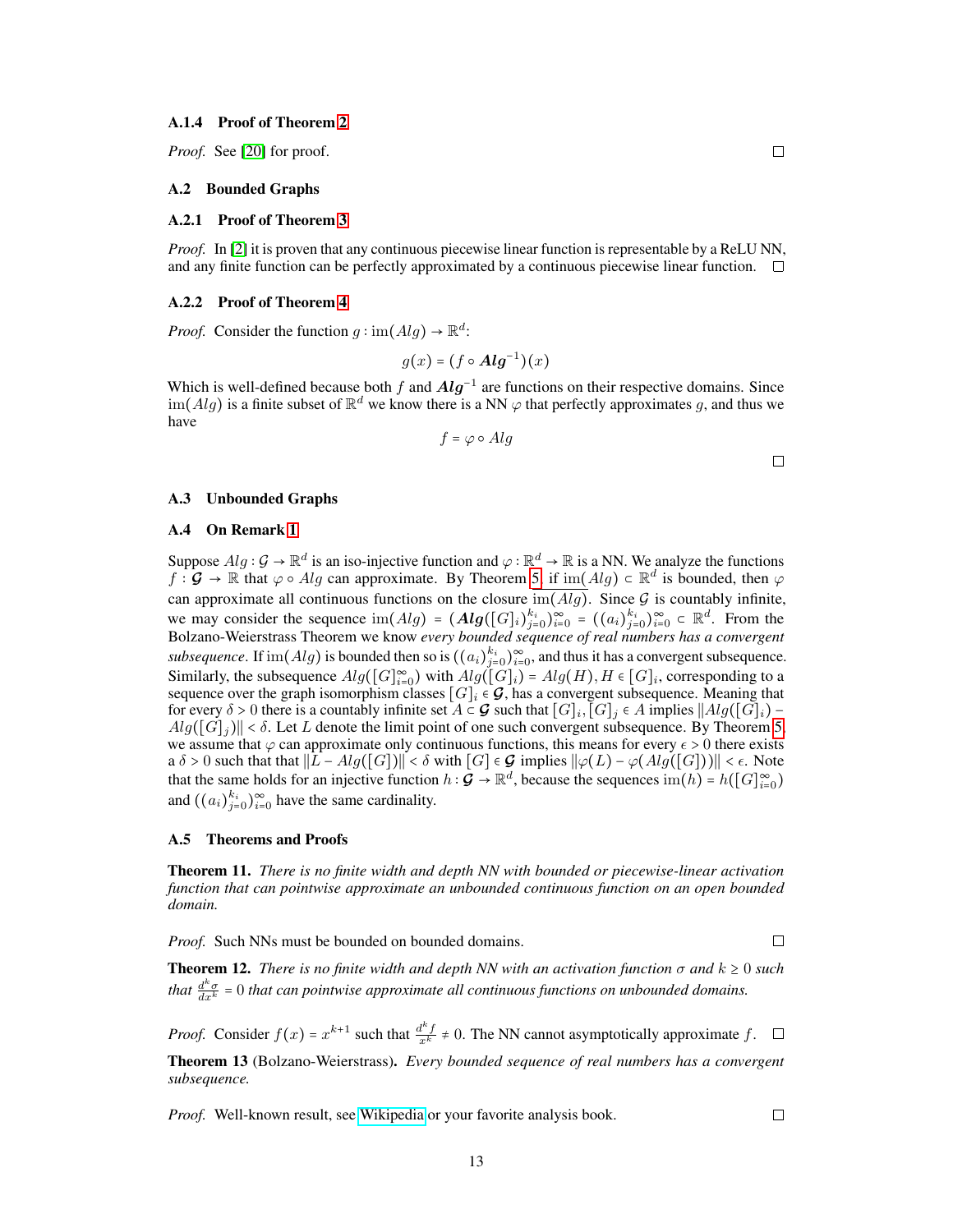#### A.1.4 Proof of Theorem [2](#page-2-0)

*Proof.* See [\[20\]](#page-10-2) for proof.

### A.2 Bounded Graphs

### A.2.1 Proof of Theorem [3](#page-2-3)

*Proof.* In [\[2\]](#page-9-13) it is proven that any continuous piecewise linear function is representable by a ReLU NN, and any finite function can be perfectly approximated by a continuous piecewise linear function.  $\Box$ 

#### A.2.2 Proof of Theorem [4](#page-2-4)

*Proof.* Consider the function  $g : \text{im}(Alg) \to \mathbb{R}^d$ :

$$
g(x) = (f \circ \mathbf{Alg}^{-1})(x)
$$

Which is well-defined because both f and  $Alg^{-1}$  are functions on their respective domains. Since  $\text{im}(Alg)$  is a finite subset of  $\mathbb{R}^d$  we know there is a NN  $\varphi$  that perfectly approximates g, and thus we have

$$
f=\varphi\circ Alg
$$

 $\Box$ 

 $\Box$ 

#### A.3 Unbounded Graphs

### A.4 On Remark [1](#page-3-1)

Suppose  $Alg: \mathcal{G} \to \mathbb{R}^d$  is an iso-injective function and  $\varphi: \mathbb{R}^d \to \mathbb{R}$  is a NN. We analyze the functions  $f: \mathcal{G} \to \mathbb{R}$  that  $\varphi \circ Alg$  can approximate. By Theorem [5,](#page-2-2) if  $\text{im}(Alg) \subset \mathbb{R}^d$  is bounded, then  $\varphi$ can approximate all continuous functions on the closure  $\overline{\text{im}(Alg)}$ . Since G is countably infinite, we may consider the sequence  $\text{im}(Alg) = (Alg([G]_i)_{j=0}^{k_i})_{i=0}^{\infty} = ((a_i)_{j=0}^{k_i})_{i=0}^{\infty} \subset \mathbb{R}^d$ . From the Bolzano-Weierstrass Theorem we know *every bounded sequence of real numbers has a convergent subsequence*. If  $\text{im}(Alg)$  is bounded then so is  $((a_i)_{j=0}^{k_i})_{i=0}^{\infty}$ , and thus it has a convergent subsequence. Similarly, the subsequence  $Alg([G]_{i=0}^{\infty})$  with  $Alg([G]_i) = Alg(H), H \in [G]_i$ , corresponding to a sequence over the graph isomorphism classes  $[G]_i \in \mathcal{G}$ , has a convergent subsequence. Meaning that for every  $\delta > 0$  there is a countably infinite set  $A \subset \mathcal{G}$  such that  $[G]_i$ ,  $[G]_j \in A$  implies  $||Alg([G]_i) Alg([G]_i)$ || <  $\delta$ . Let L denote the limit point of one such convergent subsequence. By Theorem [5,](#page-2-2) we assume that  $\varphi$  can approximate only continuous functions, this means for every  $\epsilon > 0$  there exists a  $\delta > 0$  such that that  $||L - Alg([G])|| < \delta$  with  $[G] \in \mathcal{G}$  implies  $||\varphi(L) - \varphi(Alg([G]))|| < \epsilon$ . Note that the same holds for an injective function  $h : \mathcal{G} \to \mathbb{R}^d$ , because the sequences  $\text{im}(h) = h([G]_{i=0}^\infty)$ and  $((a_i)_{j=0}^{k_i})_{i=0}^{\infty}$  have the same cardinality.

#### A.5 Theorems and Proofs

Theorem 11. *There is no finite width and depth NN with bounded or piecewise-linear activation function that can pointwise approximate an unbounded continuous function on an open bounded domain.*

*Proof.* Such NNs must be bounded on bounded domains.

 $\Box$ 

 $\Box$ 

**Theorem 12.** *There is no finite width and depth NN with an activation function*  $\sigma$  *and*  $k \ge 0$  *such that*  $\frac{d^k \sigma}{dx^k} = 0$  *that can pointwise approximate all continuous functions on unbounded domains.* 

*Proof.* Consider  $f(x) = x^{k+1}$  such that  $\frac{d^k f}{x^k} \neq 0$ . The NN cannot asymptotically approximate f.

Theorem 13 (Bolzano-Weierstrass). *Every bounded sequence of real numbers has a convergent subsequence.*

*Proof.* Well-known result, see [Wikipedia](https://en.wikipedia.org/wiki/Bolzano%E2%80%93Weierstrass_theorem) or your favorite analysis book.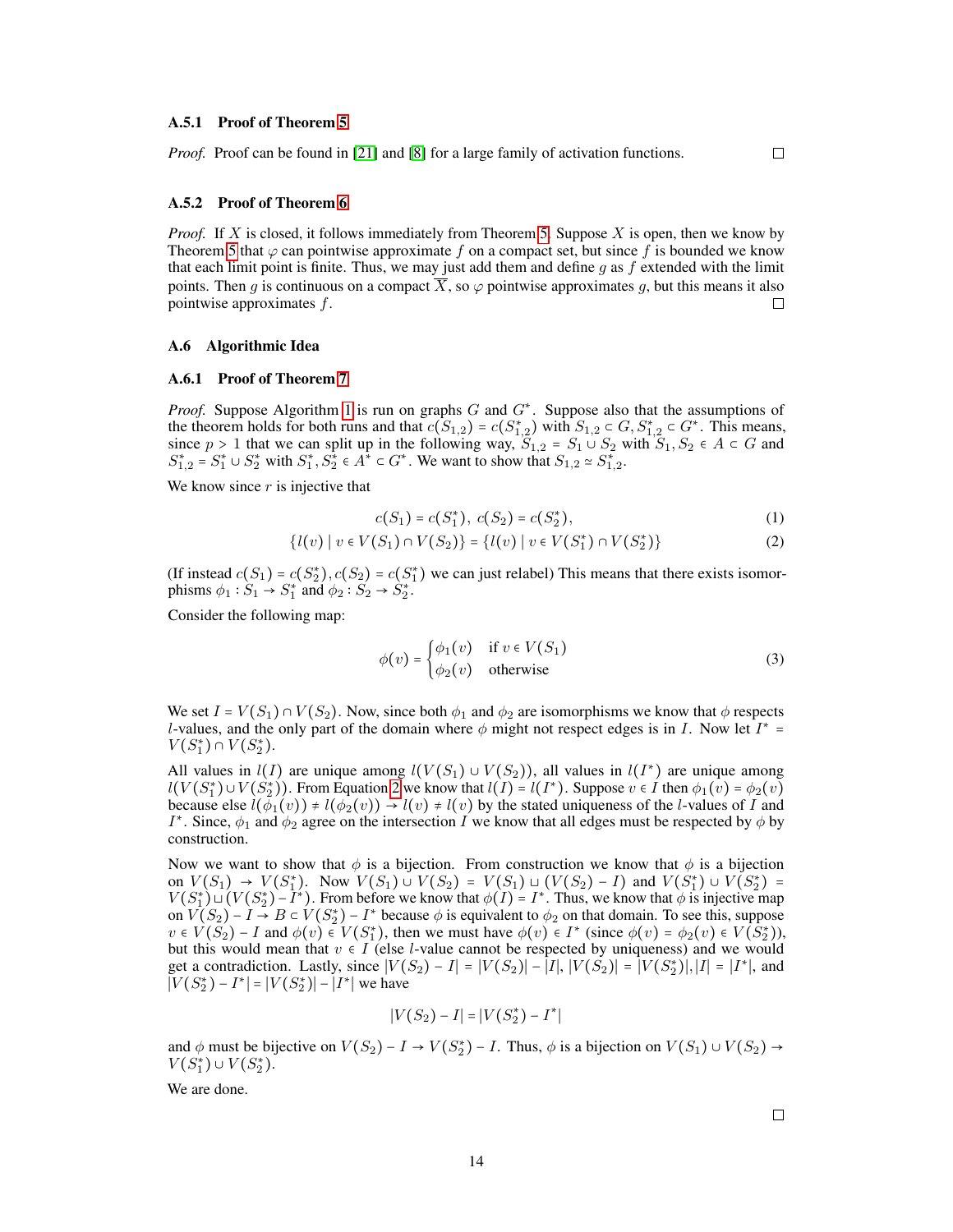#### A.5.1 Proof of Theorem [5](#page-2-2)

*Proof.* Proof can be found in [\[21\]](#page-10-11) and [\[8\]](#page-9-14) for a large family of activation functions.

### <span id="page-13-0"></span> $\Box$

### A.5.2 Proof of Theorem [6](#page-3-2)

*Proof.* If X is closed, it follows immediately from Theorem [5.](#page-2-2) Suppose X is open, then we know by Theorem [5](#page-2-2) that  $\varphi$  can pointwise approximate f on a compact set, but since f is bounded we know that each limit point is finite. Thus, we may just add them and define  $g$  as  $f$  extended with the limit points. Then q is continuous on a compact  $\overline{X}$ , so  $\varphi$  pointwise approximates q, but this means it also pointwise approximates f.  $\Box$ 

### A.6 Algorithmic Idea

### A.6.1 Proof of Theorem [7](#page-3-0)

*Proof.* Suppose Algorithm [1](#page-4-1) is run on graphs G and  $G^*$ . Suppose also that the assumptions of the theorem holds for both runs and that  $c(S_{1,2}) = c(S_{1,2}^*)$  with  $S_{1,2} \subset G, S_{1,2}^* \subset G^*$ . This means, since  $p > 1$  that we can split up in the following way,  $S_{1,2} = S_1 \cup S_2$  with  $S_1, S_2 \in A \subset G$  and  $S_{1,2}^* = S_1^* \cup S_2^*$  with  $S_1^*, S_2^* \in A^* \subset G^*$ . We want to show that  $S_{1,2} \simeq S_{1,2}^*$ .

We know since  $r$  is injective that

$$
c(S_1) = c(S_1^*), \ c(S_2) = c(S_2^*), \tag{1}
$$

$$
\{l(v) \mid v \in V(S_1) \cap V(S_2)\} = \{l(v) \mid v \in V(S_1^*) \cap V(S_2^*)\}
$$
 (2)

(If instead  $c(S_1) = c(S_2^*), c(S_2) = c(S_1^*)$  we can just relabel) This means that there exists isomorphisms  $\phi_1 : S_1 \to S_1^*$  and  $\phi_2 : S_2 \to S_2^*$ .

Consider the following map:

$$
\phi(v) = \begin{cases} \phi_1(v) & \text{if } v \in V(S_1) \\ \phi_2(v) & \text{otherwise} \end{cases}
$$
 (3)

We set  $I = V(S_1) \cap V(S_2)$ . Now, since both  $\phi_1$  and  $\phi_2$  are isomorphisms we know that  $\phi$  respects *l*-values, and the only part of the domain where  $\phi$  might not respect edges is in *I*. Now let  $I^*$  =  $V(S_1^*) \cap V(S_2^*).$ 

All values in  $l(I)$  are unique among  $l(V(S_1) \cup V(S_2))$ , all values in  $l(I^*)$  are unique among  $l(V(S_1^*) \cup V(S_2^*))$ . From Equation [2](#page-13-0) we know that  $l(I) = l(I^*)$ . Suppose  $v \in I$  then  $\phi_1(v) = \phi_2(v)$ because else  $l(\phi_1(v)) \neq l(\phi_2(v)) \rightarrow l(v) \neq l(v)$  by the stated uniqueness of the *l*-values of *I* and *I*<sup>\*</sup>. Since,  $\phi_1$  and  $\dot{\phi_2}$  agree on the intersection *I* we know that all edges must be respected by  $\phi$  by construction.

Now we want to show that  $\phi$  is a bijection. From construction we know that  $\phi$  is a bijection on  $V(S_1) \to V(S_1^*)$ . Now  $V(S_1) \cup V(S_2) = V(S_1) \cup (V(S_2) - I)$  and  $V(S_1^*) \cup V(S_2^*) =$  $V(S_1^*) \cup (V(S_2^*) - I^*)$ . From before we know that  $\phi(I) = I^*$ . Thus, we know that  $\phi$  is injective map on  $V(S_2) - I \rightarrow B \subset V(S_2^*) - I^*$  because  $\phi$  is equivalent to  $\phi_2$  on that domain. To see this, suppose  $v \in V(S_2) - I$  and  $\phi(v) \in V(S_1^*)$ , then we must have  $\phi(v) \in I^*$  (since  $\phi(v) = \phi_2(v) \in V(S_2^*)$ ), but this would mean that  $v \in I$  (else *l*-value cannot be respected by uniqueness) and we would get a contradiction. Lastly, since  $|V(S_2) - I| = |V(S_2)| - |I|$ ,  $|V(S_2)| = |V(S_2^*)|$ ,  $|I| = |I^*|$ , and  $|V(S_2^*) - I^*| = |V(S_2^*)| - |I^*|$  we have

$$
|V(S_2) - I| = |V(S_2^*) - I^*|
$$

and  $\phi$  must be bijective on  $V(S_2) - I \rightarrow V(S_2^*) - I$ . Thus,  $\phi$  is a bijection on  $V(S_1) \cup V(S_2) \rightarrow$  $V(S_1^*) \cup V(S_2^*)$ .

We are done.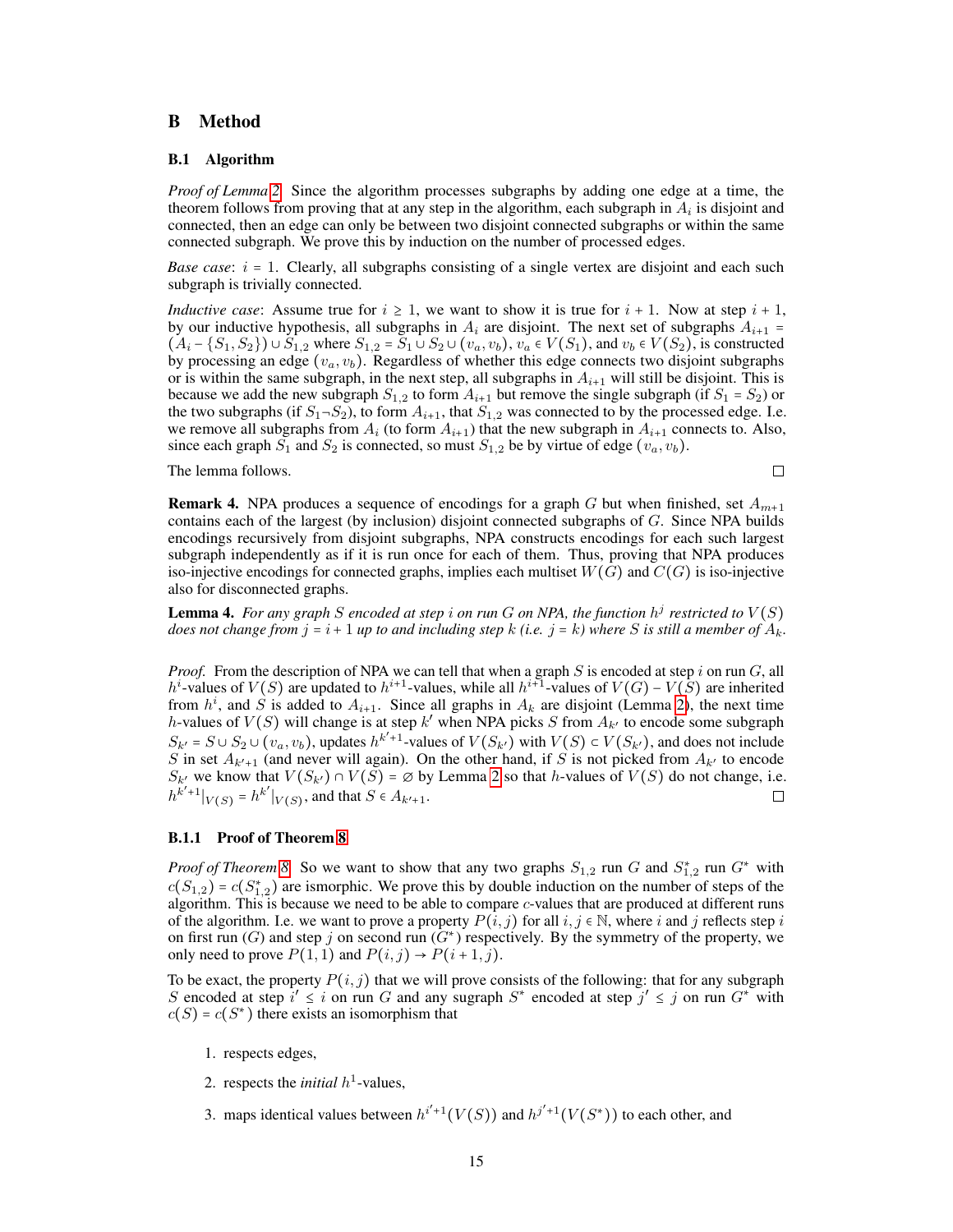# B Method

### B.1 Algorithm

*Proof of Lemma [2.](#page-4-2)* Since the algorithm processes subgraphs by adding one edge at a time, the theorem follows from proving that at any step in the algorithm, each subgraph in  $A_i$  is disjoint and connected, then an edge can only be between two disjoint connected subgraphs or within the same connected subgraph. We prove this by induction on the number of processed edges.

*Base case:*  $i = 1$ . Clearly, all subgraphs consisting of a single vertex are disjoint and each such subgraph is trivially connected.

*Inductive case*: Assume true for  $i \geq 1$ , we want to show it is true for  $i + 1$ . Now at step  $i + 1$ , by our inductive hypothesis, all subgraphs in  $A_i$  are disjoint. The next set of subgraphs  $A_{i+1}$  =  $(A_i - \{S_1, S_2\}) \cup \overline{S_1}_{,2}$  where  $S_{1,2} = \overline{S_1} \cup \overline{S_2} \cup (v_a, v_b)$ ,  $v_a \in V(S_1)$ , and  $v_b \in V(S_2)$ , is constructed by processing an edge  $(v_a, v_b)$ . Regardless of whether this edge connects two disjoint subgraphs or is within the same subgraph, in the next step, all subgraphs in  $A_{i+1}$  will still be disjoint. This is because we add the new subgraph  $S_{1,2}$  to form  $A_{i+1}$  but remove the single subgraph (if  $S_1 = S_2$ ) or the two subgraphs (if  $S_1 \neg S_2$ ), to form  $A_{i+1}$ , that  $S_{1,2}$  was connected to by the processed edge. I.e. we remove all subgraphs from  $A_i$  (to form  $A_{i+1}$ ) that the new subgraph in  $A_{i+1}$  connects to. Also, since each graph  $S_1$  and  $S_2$  is connected, so must  $S_{1,2}$  be by virtue of edge  $(v_a, v_b)$ .

The lemma follows.

 $\Box$ 

**Remark 4.** NPA produces a sequence of encodings for a graph G but when finished, set  $A_{m+1}$ contains each of the largest (by inclusion) disjoint connected subgraphs of  $G$ . Since NPA builds encodings recursively from disjoint subgraphs, NPA constructs encodings for each such largest subgraph independently as if it is run once for each of them. Thus, proving that NPA produces iso-injective encodings for connected graphs, implies each multiset  $W(G)$  and  $C(G)$  is iso-injective also for disconnected graphs.

<span id="page-14-0"></span>**Lemma 4.** For any graph S encoded at step i on run G on NPA, the function  $h^j$  restricted to  $V(S)$ *does not change from*  $j = i + 1$  *up to and including step* k *(i.e.*  $j = k$ *) where* S *is still a member of*  $A_k$ .

*Proof.* From the description of NPA we can tell that when a graph  $S$  is encoded at step i on run  $G$ , all h<sup>i</sup>-values of  $V(S)$  are updated to  $h^{i+1}$ -values, while all  $h^{i+1}$ -values of  $V(G)$  –  $V(S)$  are inherited from  $h^i$ , and  $S$  is added to  $A_{i+1}$ . Since all graphs in  $A_k$  are disjoint (Lemma [2\)](#page-4-2), the next time h-values of  $V(S)$  will change is at step k' when NPA picks S from  $A_{k'}$  to encode some subgraph  $S_{k'} = S \cup S_2 \cup (v_a, v_b)$ , updates  $h^{k'+1}$ -values of  $V(S_{k'})$  with  $V(S) \subset V(S_{k'})$ , and does not include S in set  $A_{k'+1}$  (and never will again). On the other hand, if S is not picked from  $A_{k'}$  to encode  $S_{k'}$  we know that  $V(S_{k'}) \cap V(S) = \emptyset$  by Lemma [2](#page-4-2) so that h-values of  $V(S)$  do not change, i.e.  $|h^{k'+1}|_{V(S)} = h^{k'}|_{V(S)}$ , and that  $S \in A_{k'+1}$ . П

### B.1.1 Proof of Theorem [8](#page-5-1)

*Proof of Theorem* [8.](#page-5-1) So we want to show that any two graphs  $S_{1,2}$  run G and  $S_{1,2}^*$  run G<sup>\*</sup> with  $c(S_{1,2}) = c(S_{1,2}^*)$  are ismorphic. We prove this by double induction on the number of steps of the algorithm. This is because we need to be able to compare  $c$ -values that are produced at different runs of the algorithm. I.e. we want to prove a property  $P(i, j)$  for all  $i, j \in \mathbb{N}$ , where i and j reflects step i on first run (G) and step j on second run  $(G^*)$  respectively. By the symmetry of the property, we only need to prove  $P(1, 1)$  and  $P(i, j) \rightarrow P(i + 1, j)$ .

To be exact, the property  $P(i, j)$  that we will prove consists of the following: that for any subgraph S encoded at step  $i' \leq i$  on run G and any sugraph  $S^*$  encoded at step  $j' \leq j$  on run  $G^*$  with  $c(S) = c(S^*)$  there exists an isomorphism that

- 1. respects edges,
- 2. respects the *initial*  $h^1$ -values,
- 3. maps identical values between  $h^{i'+1}(V(S))$  and  $h^{j'+1}(V(S^*))$  to each other, and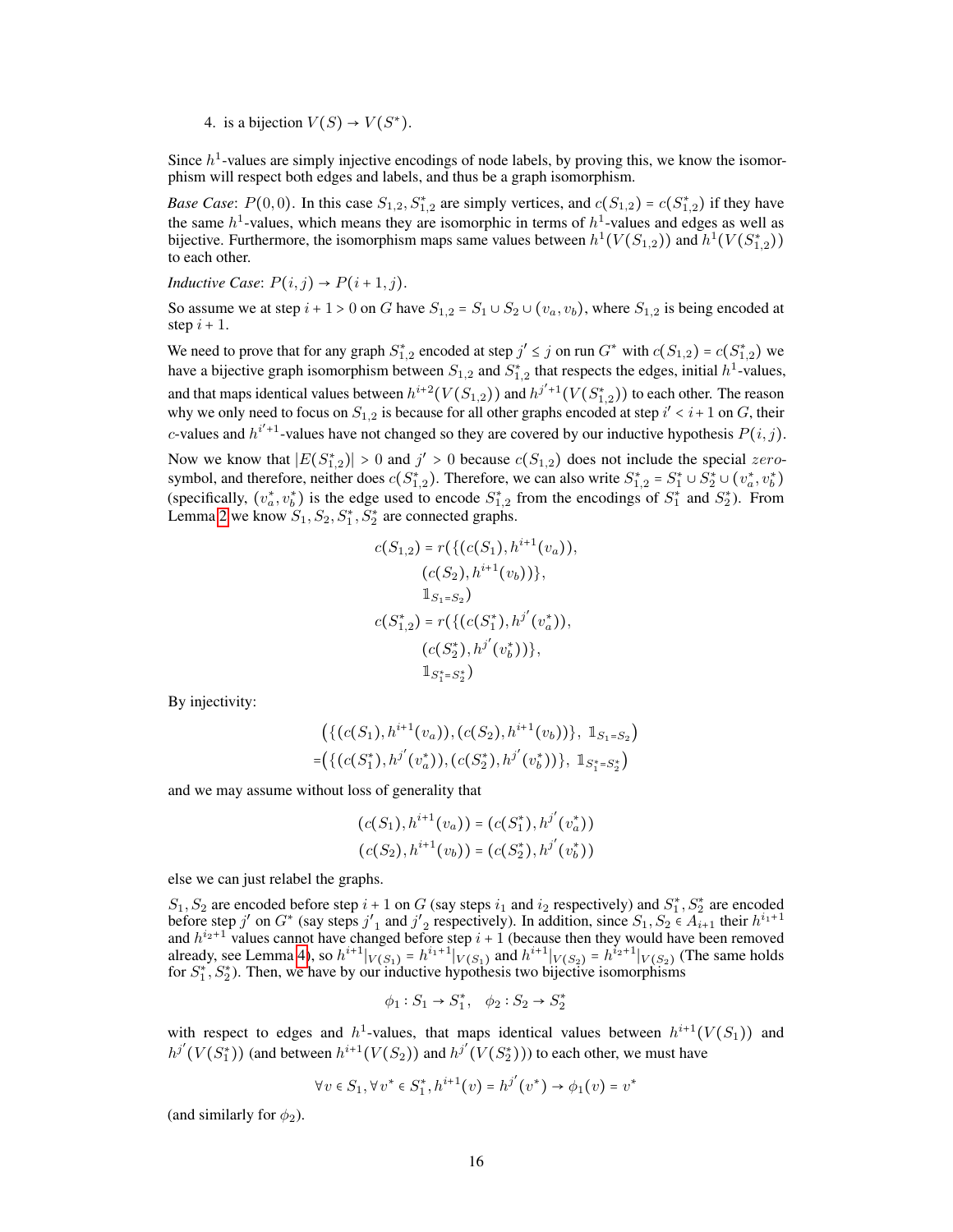4. is a bijection  $V(S) \rightarrow V(S^*)$ .

Since  $h<sup>1</sup>$ -values are simply injective encodings of node labels, by proving this, we know the isomorphism will respect both edges and labels, and thus be a graph isomorphism.

*Base Case*:  $P(0,0)$ . In this case  $S_{1,2}, S_{1,2}^*$  are simply vertices, and  $c(S_{1,2}) = c(S_{1,2}^*)$  if they have the same  $h^1$ -values, which means they are isomorphic in terms of  $h^1$ -values and edges as well as bijective. Furthermore, the isomorphism maps same values between  $h^1(V(S_{1,2}))$  and  $h^1(V(S_{1,2}^*))$ to each other.

*Inductive Case:*  $P(i, j) \rightarrow P(i + 1, j)$ .

So assume we at step  $i + 1 > 0$  on G have  $S_{1,2} = S_1 \cup S_2 \cup (v_a, v_b)$ , where  $S_{1,2}$  is being encoded at step  $i + 1$ .

We need to prove that for any graph  $S_{1,2}^*$  encoded at step  $j' \leq j$  on run  $G^*$  with  $c(S_{1,2}) = c(S_{1,2}^*)$  we have a bijective graph isomorphism between  $S_{1,2}$  and  $S_{1,2}^*$  that respects the edges, initial  $h^1$ -values, and that maps identical values between  $h^{i+2}(V(S_{1,2}))$  and  $h^{j'+1}(V(S_{1,2}^*))$  to each other. The reason why we only need to focus on  $S_{1,2}$  is because for all other graphs encoded at step  $i' < i+1$  on G, their c-values and  $h^{i'+1}$ -values have not changed so they are covered by our inductive hypothesis  $P(i, j)$ .

Now we know that  $|E(S_{1,2}^*)| > 0$  and  $j' > 0$  because  $c(S_{1,2})$  does not include the special zerosymbol, and therefore, neither does  $c(S_{1,2}^*)$ . Therefore, we can also write  $S_{1,2}^* = S_1^* \cup S_2^* \cup (v_a^*, v_b^*)$ (specifically,  $(v_a^*, v_b^*)$  is the edge used to encode  $S_{1,2}^*$  from the encodings of  $S_1^*$  and  $S_2^*$ ). From Lemma [2](#page-4-2) we know  $S_1, S_2, S_1^*, S_2^*$  are connected graphs.

$$
c(S_{1,2}) = r(\{(c(S_1), h^{i+1}(v_a)),(c(S_2), h^{i+1}(v_b))\},\mathbb{1}_{S_1=S_2})\nc(S_{1,2}^*) = r(\{(c(S_1^*), h^{j'}(v_a^*)),(c(S_2^*), h^{j'}(v_b^*))\},\mathbb{1}_{S_1^*=S_2^*})
$$

By injectivity:

$$
\left(\{(c(S_1), h^{i+1}(v_a)), (c(S_2), h^{i+1}(v_b))\}, \mathbb{1}_{S_1=S_2}\right)
$$
  
=
$$
\left(\{(c(S_1^*), h^{j'}(v_a^*)), (c(S_2^*), h^{j'}(v_b^*))\}, \mathbb{1}_{S_1^*=S_2^*}\right)
$$

and we may assume without loss of generality that

$$
(c(S_1), h^{i+1}(v_a)) = (c(S_1^*), h^{j'}(v_a^*))
$$
  

$$
(c(S_2), h^{i+1}(v_b)) = (c(S_2^*), h^{j'}(v_b^*))
$$

else we can just relabel the graphs.

 $S_1, S_2$  are encoded before step  $i + 1$  on G (say steps  $i_1$  and  $i_2$  respectively) and  $S_1^*, S_2^*$  are encoded  $51, 52$  are encoded before step  $i^+ + 1$  on G (say steps  $i_1$  and  $i_2$  respectively) and  $51, 52$  are encoded before step j' on  $G^*$  (say steps j'<sub>1</sub> and j'<sub>2</sub> respectively). In addition, since  $S_1, S_2 \in A_{i+1}$  their and  $h^{i_2+1}$  values cannot have changed before step  $i + 1$  (because then they would have been removed already, see Lemma [4\)](#page-14-0), so  $h^{i+1}|_{V(S_1)} = h^{i_1+1}|_{V(S_1)}$  and  $h^{i+1}|_{V(S_2)} = h^{i_2+1}|_{V(S_2)}$  (The same holds for  $S_1^*, S_2^*$ ). Then, we have by our inductive hypothesis two bijective isomorphisms

$$
\phi_1:S_1\to S_1^*,\quad \phi_2:S_2\to S_2^*
$$

with respect to edges and  $h^1$ -values, that maps identical values between  $h^{i+1}(V(S_1))$  and  $h^{j'}(V(S_1^*))$  (and between  $h^{i+1}(V(S_2))$  and  $h^{j'}(V(S_2^*)))$  to each other, we must have

$$
\forall v \in S_1, \forall v^* \in S_1^*, h^{i+1}(v) = h^{j'}(v^*) \to \phi_1(v) = v^*
$$

(and similarly for  $\phi_2$ ).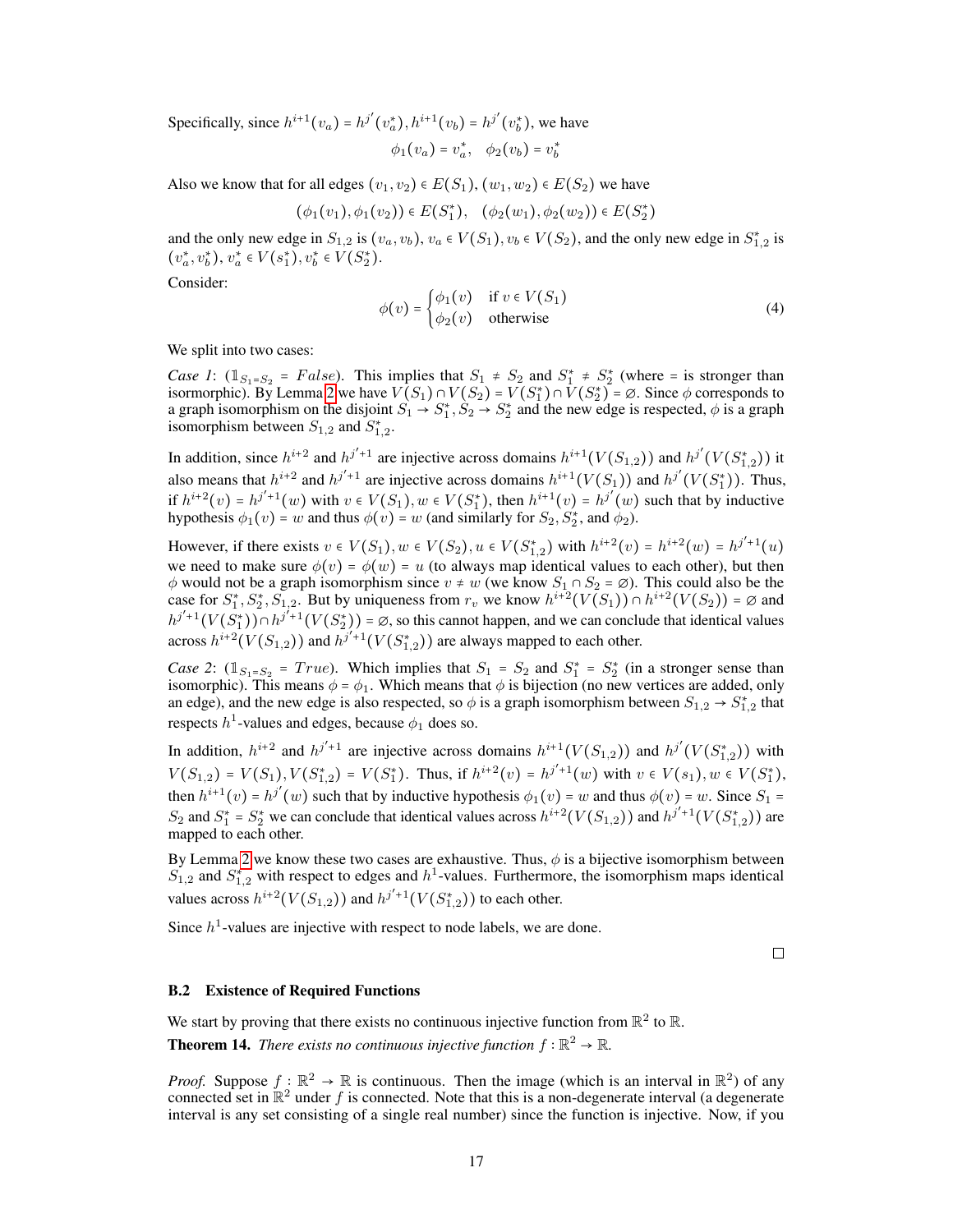Specifically, since  $h^{i+1}(v_a) = h^{j'}(v_a^*), h^{i+1}(v_b) = h^{j'}(v_b^*),$  we have

$$
\phi_1(v_a) = v_a^*, \quad \phi_2(v_b) = v_b^*
$$

Also we know that for all edges  $(v_1, v_2) \in E(S_1), (w_1, w_2) \in E(S_2)$  we have

$$
(\phi_1(v_1), \phi_1(v_2)) \in E(S_1^*), \quad (\phi_2(w_1), \phi_2(w_2)) \in E(S_2^*)
$$

and the only new edge in  $S_{1,2}$  is  $(v_a, v_b)$ ,  $v_a \in V(S_1)$ ,  $v_b \in V(S_2)$ , and the only new edge in  $S_{1,2}^*$  is  $(v_a^*, v_b^*), v_a^* \in V(s_1^*), v_b^* \in V(S_2^*).$ 

Consider:

$$
\phi(v) = \begin{cases} \phi_1(v) & \text{if } v \in V(S_1) \\ \phi_2(v) & \text{otherwise} \end{cases}
$$
 (4)

We split into two cases:

*Case 1*:  $(\mathbb{1}_{S_1=S_2} = False)$ . This implies that  $S_1 \neq S_2$  and  $S_1^* \neq S_2^*$  (where = is stronger than isormorphic). By Lemma [2](#page-4-2) we have  $V(S_1) \cap V(S_2) = V(S_1^*) \cap V(S_2^*) = \emptyset$ . Since  $\phi$  corresponds to a graph isomorphism on the disjoint  $S_1 \to S_1^*, S_2 \to S_2^*$  and the new edge is respected,  $\phi$  is a graph isomorphism between  $S_{1,2}$  and  $S_{1,2}^*$ .

In addition, since  $h^{i+2}$  and  $h^{j'+1}$  are injective across domains  $h^{i+1}(V(S_{1,2}))$  and  $h^{j'}(V(S_{1,2}^*))$  it also means that  $h^{i+2}$  and  $h^{j'+1}$  are injective across domains  $h^{i+1}(V(S_1))$  and  $h^{j'}(V(S_1^*))$ . Thus, if  $h^{i+2}(v) = h^{j'+1}(w)$  with  $v \in V(S_1), w \in V(S_1^*)$ , then  $h^{i+1}(v) = h^{j'}(w)$  such that by inductive hypothesis  $\phi_1(v) = w$  and thus  $\phi(v) = w$  (and similarly for  $S_2, S_2^*$ , and  $\phi_2$ ).

However, if there exists  $v \in V(S_1), w \in V(S_2), u \in V(S_{1,2}^*)$  with  $h^{i+2}(v) = h^{i+2}(w) = h^{j'+1}(u)$ we need to make sure  $\phi(v) = \phi(w) = u$  (to always map identical values to each other), but then  $\phi$  would not be a graph isomorphism since  $v \neq w$  (we know  $S_1 \cap S_2 = \emptyset$ ). This could also be the case for  $S_1^*, S_2^*, \overline{S_1}_{,2}$ . But by uniqueness from  $r_v$  we know  $h^{i+2}(V(S_1)) \cap h^{i+2}(V(S_2)) = \emptyset$  and  $h^{j'+1}(V(S_1^*)) \cap h^{j'+1}(V(S_2^*)) = \emptyset$ , so this cannot happen, and we can conclude that identical values across  $h^{i+2}(V(S_{1,2}))$  and  $h^{j'+1}(V(S_{1,2}^*))$  are always mapped to each other.

*Case 2*:  $(\mathbb{1}_{S_1=S_2} = True)$ . Which implies that  $S_1 = S_2$  and  $S_1^* = S_2^*$  (in a stronger sense than isomorphic). This means  $\phi = \phi_1$ . Which means that  $\phi$  is bijection (no new vertices are added, only an edge), and the new edge is also respected, so  $\phi$  is a graph isomorphism between  $S_{1,2} \to S_{1,2}^*$  that respects  $h^1$ -values and edges, because  $\phi_1$  does so.

In addition,  $h^{i+2}$  and  $h^{j'+1}$  are injective across domains  $h^{i+1}(V(S_{1,2}))$  and  $h^{j'}(V(S_{1,2}^*))$  with  $V(S_{1,2}) = V(S_1), V(S_{1,2}^*) = V(S_1^*).$  Thus, if  $h^{i+2}(v) = h^{j'+1}(w)$  with  $v \in V(s_1), w \in V(S_1^*),$ then  $h^{i+1}(v) = h^{j'}(w)$  such that by inductive hypothesis  $\phi_1(v) = w$  and thus  $\phi(v) = w$ . Since  $S_1 =$  $S_2$  and  $S_1^* = S_2^*$  we can conclude that identical values across  $h^{i+2}(V(S_{1,2}))$  and  $h^{j'+1}(V(S_{1,2}^*))$  are mapped to each other.

By Lemma [2](#page-4-2) we know these two cases are exhaustive. Thus,  $\phi$  is a bijective isomorphism between  $S_{1,2}$  and  $S_{1,2}^*$  with respect to edges and  $h^1$ -values. Furthermore, the isomorphism maps identical values across  $h^{i+2}(V(S_{1,2}))$  and  $h^{j'+1}(V(S_{1,2}^*))$  to each other.

Since  $h<sup>1</sup>$ -values are injective with respect to node labels, we are done.

 $\Box$ 

# B.2 Existence of Required Functions

We start by proving that there exists no continuous injective function from  $\mathbb{R}^2$  to  $\mathbb{R}$ .

**Theorem 14.** *There exists no continuous injective function*  $f : \mathbb{R}^2 \to \mathbb{R}$ *.* 

*Proof.* Suppose  $f: \mathbb{R}^2 \to \mathbb{R}$  is continuous. Then the image (which is an interval in  $\mathbb{R}^2$ ) of any connected set in  $\mathbb{R}^2$  under f is connected. Note that this is a non-degenerate interval (a degenerate interval is any set consisting of a single real number) since the function is injective. Now, if you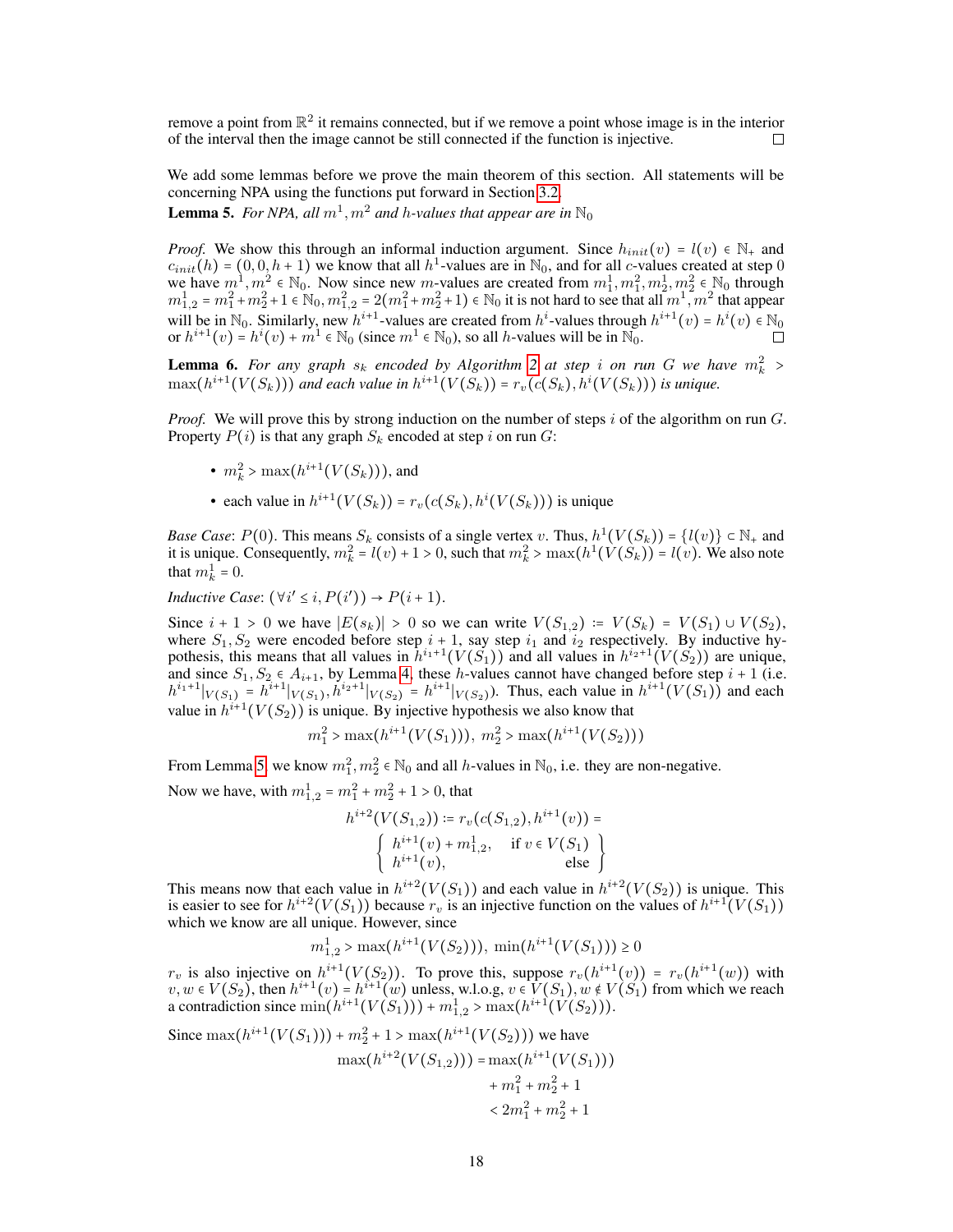remove a point from  $\mathbb{R}^2$  it remains connected, but if we remove a point whose image is in the interior of the interval then the image cannot be still connected if the function is injective. П

We add some lemmas before we prove the main theorem of this section. All statements will be concerning NPA using the functions put forward in Section [3.2.](#page-5-2)

<span id="page-17-0"></span>**Lemma 5.** For NPA, all  $m^1, m^2$  and h-values that appear are in  $\mathbb{N}_0$ 

*Proof.* We show this through an informal induction argument. Since  $h_{init}(v) = l(v) \in \mathbb{N}_+$  and  $c_{init}(h) = (0, 0, h+1)$  we know that all  $h^1$ -values are in  $\mathbb{N}_0$ , and for all c-values created at step 0 we have  $m^1, m^2 \in \mathbb{N}_0$ . Now since new m-values are created from  $m_1^1, m_1^2, m_2^1, m_2^2 \in \mathbb{N}_0$  through  $m_{1,2}^1 = m_1^2 + m_2^2 + 1 \in \mathbb{N}_0, m_{1,2}^2 = 2(m_1^2 + m_2^2 + 1) \in \mathbb{N}_0$  it is not hard to see that all  $m_1^2, m_2^2$  that appear will be in  $\mathbb{N}_0$ . Similarly, new  $h^{i+1}$ -values are created from  $h^i$ -values through  $h^{i+1}(v) = h^i(v) \in \mathbb{N}_0$ or  $h^{i+1}(v) = h^i(v) + m^i \in \mathbb{N}_0$  (since  $m^1 \in \mathbb{N}_0$ ), so all h-values will be in  $\mathbb{N}_0$ .

<span id="page-17-1"></span>**Lemma 6.** For any graph  $s_k$  encoded by Algorithm [2](#page-5-0) at step i on run G we have  $m_k^2 >$  $\max(h^{i+1}(V(S_k)))$  and each value in  $h^{i+1}(V(S_k))$  =  $r_v(c(S_k), h^i(V(S_k)))$  is unique.

*Proof.* We will prove this by strong induction on the number of steps  $i$  of the algorithm on run  $G$ . Property  $P(i)$  is that any graph  $S_k$  encoded at step i on run G:

- $m_k^2 > \max(h^{i+1}(V(S_k))),$  and
- each value in  $h^{i+1}(V(S_k)) = r_v(c(S_k), h^i(V(S_k)))$  is unique

*Base Case*:  $P(0)$ . This means  $S_k$  consists of a single vertex v. Thus,  $h^1(V(S_k)) = \{l(v)\} \subset \mathbb{N}_+$  and it is unique. Consequently,  $m_k^2 = l(v) + 1 > 0$ , such that  $m_k^2 > \max(h^1(\hat{V}(S_k)) - l(v))$ . We also note that  $m_k^1 = 0$ .

*Inductive Case*:  $(\forall i' \leq i, P(i')) \rightarrow P(i+1)$ .

Since  $i + 1 > 0$  we have  $|E(s_k)| > 0$  so we can write  $V(S_{1,2}) = V(S_k) = V(S_1) \cup V(S_2)$ , where  $S_1, S_2$  were encoded before step  $i + 1$ , say step  $i_1$  and  $i_2$  respectively. By inductive hypothesis, this means that all values in  $\hat{h}^{i_1+1}(V(S_1))$  and all values in  $h^{i_2+1}(V(S_2))$  are unique, and since  $S_1, S_2 \in A_{i+1}$ , by Lemma [4,](#page-14-0) these *h*-values cannot have changed before step  $i + 1$  (i.e.  $h^{i_1+1}|_{V(S_1)} = h^{i_1+1}|_{V(S_1)}$ ,  $h^{i_2+1}|_{V(S_2)} = h^{i_1+1}|_{V(S_2)}$ . Thus, each value in  $h^{i_1+1}(V(S_1))$  and each value in  $h^{i+1}(V(S_2))$  is unique. By injective hypothesis we also know that

$$
m_1^2 > \max(h^{i+1}(V(S_1))), m_2^2 > \max(h^{i+1}(V(S_2)))
$$

From Lemma [5,](#page-17-0) we know  $m_1^2, m_2^2 \in \mathbb{N}_0$  and all h-values in  $\mathbb{N}_0$ , i.e. they are non-negative.

Now we have, with  $m_{1,2}^1 = m_1^2 + m_2^2 + 1 > 0$ , that

$$
h^{i+2}(V(S_{1,2})) \coloneqq r_v(c(S_{1,2}), h^{i+1}(v)) =
$$
  

$$
\begin{cases} h^{i+1}(v) + m_{1,2}^1, & \text{if } v \in V(S_1) \\ h^{i+1}(v), & \text{else} \end{cases}
$$

This means now that each value in  $h^{i+2}(V(S_1))$  and each value in  $h^{i+2}(V(S_2))$  is unique. This is easier to see for  $h^{i+2}(V(S_1))$  because  $r_v$  is an injective function on the values of  $h^{i+1}(V(S_1))$ which we know are all unique. However, since

$$
m_{1,2}^1 > \max(h^{i+1}(V(S_2))), \min(h^{i+1}(V(S_1))) \ge 0
$$

 $r_v$  is also injective on  $h^{i+1}(V(S_2))$ . To prove this, suppose  $r_v(h^{i+1}(v)) = r_v(h^{i+1}(w))$  with  $v, w \in V(S_2)$ , then  $h^{i+1}(v) = h^{i+1}(w)$  unless, w.l.o.g,  $v \in V(S_1)$ ,  $w \notin V(S_1)$  from which we reach a contradiction since  $\min(h^{i+1}(V(S_1))) + m_{1,2}^1 > \max(h^{i+1}(V(S_2))).$ 

Since 
$$
\max(h^{i+1}(V(S_1))) + m_2^2 + 1 > \max(h^{i+1}(V(S_2)))
$$
 we have  
\n
$$
\max(h^{i+2}(V(S_{1,2}))) = \max(h^{i+1}(V(S_1))) + m_1^2 + m_2^2 + 1
$$
\n
$$
< 2m_1^2 + m_2^2 + 1
$$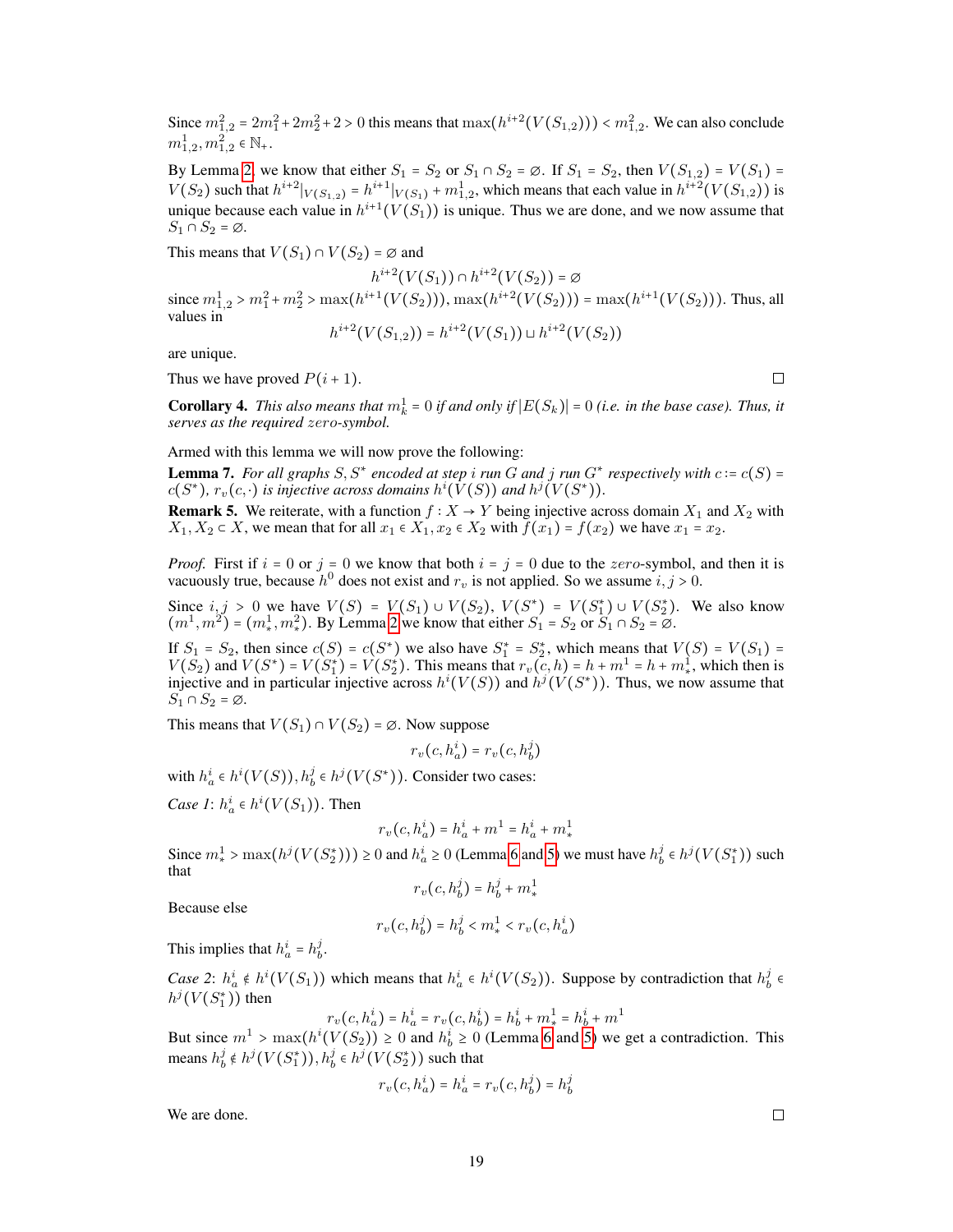Since  $m_{1,2}^2 = 2m_1^2 + 2m_2^2 + 2 > 0$  this means that  $\max(h^{i+2}(V(S_{1,2}))) < m_{1,2}^2$ . We can also conclude  $m^1_{1,2}, m^2_{1,2} \in \mathbb{N}_+.$ 

By Lemma [2,](#page-4-2) we know that either  $S_1 = S_2$  or  $S_1 \cap S_2 = \emptyset$ . If  $S_1 = S_2$ , then  $V(S_{1,2}) = V(S_1) =$  $V(S_2)$  such that  $h^{i+2}|_{V(S_{1,2})} = h^{i+1}|_{V(S_1)} + m_{1,2}^1$ , which means that each value in  $h^{i+2}(V(S_{1,2}))$  is unique because each value in  $h^{i+1}(V(S_1))$  is unique. Thus we are done, and we now assume that  $S_1 \cap S_2 = \emptyset$ .

This means that  $V(S_1) \cap V(S_2) = \emptyset$  and

 $h^{i+2}(V(S_1)) \cap h^{i+2}(V(S_2)) = \emptyset$ since  $m_{1,2}^1 > m_1^2 + m_2^2 > \max(h^{i+1}(V(S_2))), \max(h^{i+2}(V(S_2))) = \max(h^{i+1}(V(S_2))).$  Thus, all values in

$$
h^{i+2}(V(S_{1,2})) = h^{i+2}(V(S_1)) \sqcup h^{i+2}(V(S_2))
$$

are unique.

Thus we have proved  $P(i + 1)$ .

 $\Box$ 

**Corollary 4.** *This also means that*  $m_k^1 = 0$  *if and only if*  $|E(S_k)| = 0$  *(i.e. in the base case). Thus, it serves as the required* zero*-symbol.*

Armed with this lemma we will now prove the following:

**Lemma 7.** For all graphs  $S, S^*$  encoded at step i run G and j run  $G^*$  respectively with  $c = c(S) =$  $c(S^*)$ ,  $r_v(c, \cdot)$  is injective across domains  $h^i(\hat{V}(S))$  and  $h^j(V(S^*))$ .

**Remark 5.** We reiterate, with a function  $f : X \to Y$  being injective across domain  $X_1$  and  $X_2$  with  $X_1, X_2 \subset X$ , we mean that for all  $x_1 \in X_1, x_2 \in X_2$  with  $f(x_1) = f(x_2)$  we have  $x_1 = x_2$ .

*Proof.* First if  $i = 0$  or  $j = 0$  we know that both  $i = j = 0$  due to the zero-symbol, and then it is vacuously true, because  $h^0$  does not exist and  $r_v$  is not applied. So we assume  $i, j > 0$ .

Since  $i, j > 0$  we have  $V(S) = V(S_1) \cup V(S_2)$ ,  $V(S^*) = V(S_1^*) \cup V(S_2^*)$ . We also know  $(m^1, m^2) = (m_*^1, m_*^2)$ . By Lemma [2](#page-4-2) we know that either  $S_1 = S_2$  or  $S_1 \cap S_2 = \emptyset$ .

If  $S_1 = S_2$ , then since  $c(S) = c(S^*)$  we also have  $S_1^* = S_2^*$ , which means that  $V(S) = V(S_1) =$  $V(S_2)$  and  $V(S^*) = V(S_1^*) = V(S_2^*)$ . This means that  $r_v(c, h) = h + m^1 = h + m^1$ , which then is injective and in particular injective across  $h^{i}(V(S))$  and  $h^{j}(V(S^*))$ . Thus, we now assume that  $S_1 \cap S_2 = \emptyset$ .

This means that  $V(S_1) \cap V(S_2) = \emptyset$ . Now suppose

$$
r_v(c, h_a^i) = r_v(c, h_b^j)
$$

with  $h_a^i \in h^i(V(S)), h_b^j \in h^j(V(S^*))$ . Consider two cases:

*Case 1*:  $h_a^i \in h^i(V(S_1))$ . Then

$$
r_v\big(c,h^i_a\big)=h^i_a+m^1=h^i_a+m^1_*
$$

Since  $m_*^1 > \max(h^j(V(S_2^*))) \ge 0$  and  $h_a^i \ge 0$  (Lemma [6](#page-17-1) and [5\)](#page-17-0) we must have  $h_b^j \in h^j(V(S_1^*))$  such that

$$
r_v(c, h_b^j) = h_b^j + m_*^1
$$

Because else

$$
r_v(c, h_b^j) = h_b^j < m_*^1 < r_v(c, h_a^i)
$$

This implies that  $h_a^i = h_b^j$ .

*Case 2*:  $h_a^i \notin h^i(V(S_1))$  which means that  $h_a^i \in h^i(V(S_2))$ . Suppose by contradiction that  $h_b^j \in \mathbb{R}$  $h^j(V(S_1^*))$  then

$$
r_v(c,h^i_a) = h^i_a = r_v(c,h^i_b) = h^i_b + m^1_* = h^i_b + m^1
$$

But since  $m^1 > \max(h^i(V(S_2)) \ge 0$  and  $h_b^i \ge 0$  (Lemma [6](#page-17-1) and [5\)](#page-17-0) we get a contradiction. This means  $h_b^j \notin h^j(V(S_1^*)), h_b^j \in h^j(V(S_2^*))$  such that

$$
r_v(c, h_a^i) = h_a^i = r_v(c, h_b^j) = h_b^j
$$

We are done.

 $\Box$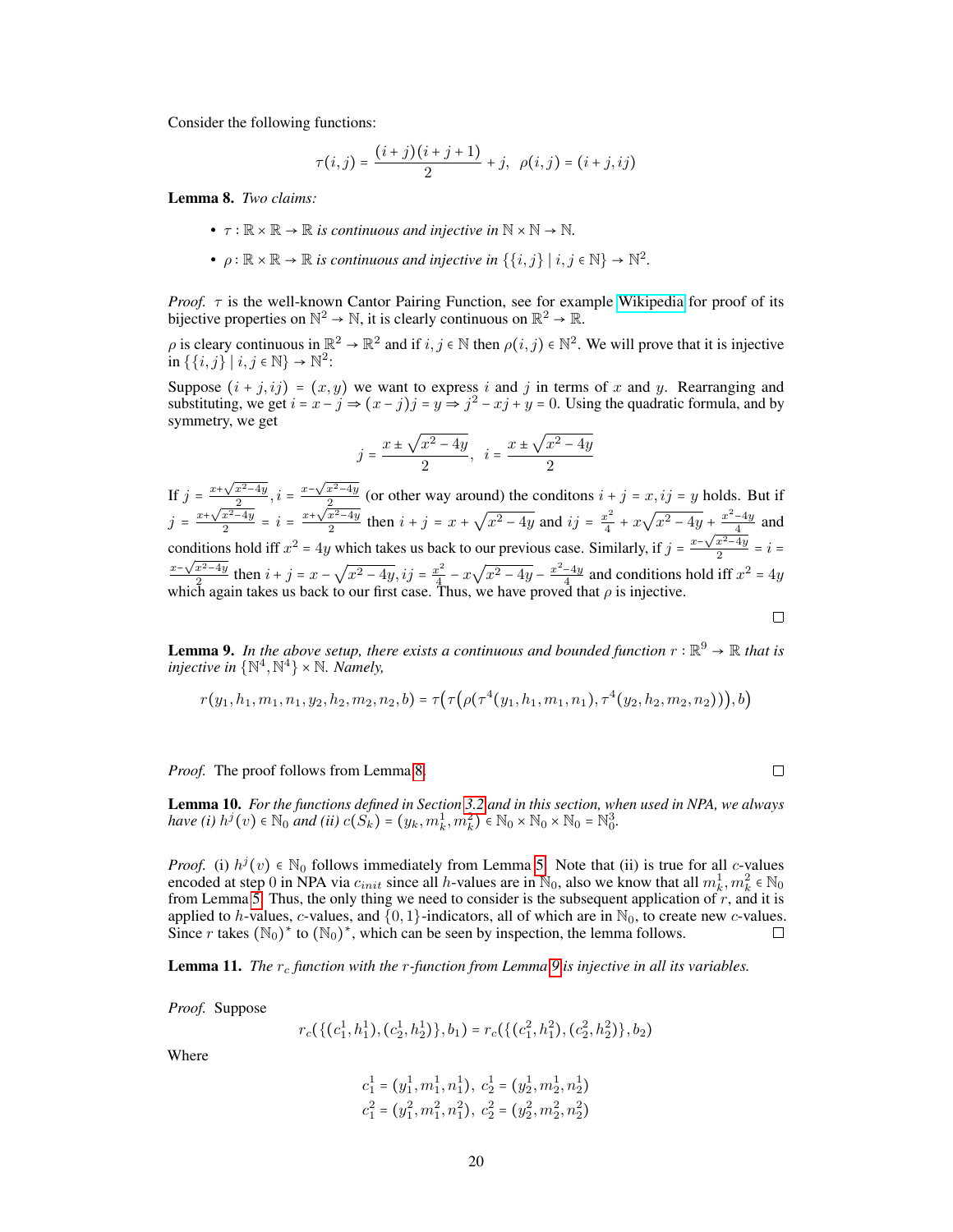Consider the following functions:

$$
\tau(i,j) = \frac{(i+j)(i+j+1)}{2} + j, \ \rho(i,j) = (i+j, ij)
$$

<span id="page-19-0"></span>Lemma 8. *Two claims:*

- $\tau : \mathbb{R} \times \mathbb{R} \to \mathbb{R}$  *is continuous and injective in*  $\mathbb{N} \times \mathbb{N} \to \mathbb{N}$ *.*
- $\rho : \mathbb{R} \times \mathbb{R} \to \mathbb{R}$  *is continuous and injective in*  $\{\{i, j\} \mid i, j \in \mathbb{N}\} \to \mathbb{N}^2$ .

*Proof.*  $\tau$  is the well-known Cantor Pairing Function, see for example [Wikipedia](https://en.wikipedia.org/wiki/Pairing_function) for proof of its bijective properties on  $\mathbb{N}^2 \to \mathbb{N}$ , it is clearly continuous on  $\mathbb{R}^2 \to \mathbb{R}$ .

 $\rho$  is cleary continuous in  $\mathbb{R}^2 \to \mathbb{R}^2$  and if  $i, j \in \mathbb{N}$  then  $\rho(i, j) \in \mathbb{N}^2$ . We will prove that it is injective  $\text{in } \{ \{i, j\} \mid i, j \in \mathbb{N} \} \to \mathbb{N}^2$ :

Suppose  $(i + j, ij) = (x, y)$  we want to express i and j in terms of x and y. Rearranging and substituting, we get  $i = x - j \Rightarrow (x - j)j = y \Rightarrow j^2 - xj + y = 0$ . Using the quadratic formula, and by symmetry, we get

$$
j = \frac{x \pm \sqrt{x^2 - 4y}}{2}, \ \ i = \frac{x \pm \sqrt{x^2 - 4y}}{2}
$$

If  $j = \frac{x + \sqrt{x^2 - 4y}}{2}$  $\frac{x^2-4y}{2}, i = \frac{x-\sqrt{x^2-4y}}{2}$  $\frac{x^2-4y}{2}$  (or other way around) the conditions  $i + j = x, ij = y$  holds. But if  $j = \frac{x + \sqrt{x^2 - 4y}}{2}$  $\frac{x^2-4y}{2} = i = \frac{x+\sqrt{x^2-4y}}{2}$  $\frac{x^2-4y}{2}$  then  $i + j = x + j$ √  $\sqrt{x^2-4y}$  and  $ij = \frac{x^2}{4}$  $\frac{x^2}{4} + x$ √  $\sqrt{x^2-4y} + \frac{x^2-4y}{4}$  and conditions hold iff  $x^2 = 4y$  which takes us back to our previous case. Similarly, if  $j = \frac{x - \sqrt{x^2 - 4y}}{2}$ nditions hold iff  $x^2 = 4y$  which takes us back to our previous case. Similarly, if  $j = \frac{x - \sqrt{x^2 - 4y}}{2} = i = \sqrt{x^2 - 4y}$  $x-\sqrt{x^2-4y}$  $rac{x^2-4y}{2}$  then  $i + j = x -$ √  $\overline{x^2-4y}$ ,  $ij=\frac{x^2}{4}$  $\frac{x^2}{4}$  – x √  $\sqrt{x^2-4y} - \frac{x^2-4y}{4}$  and conditions hold iff  $x^2 = 4y$ which again takes us back to our first case. Thus, we have proved that  $\rho$  is injective.

<span id="page-19-1"></span>**Lemma 9.** In the above setup, there exists a continuous and bounded function  $r : \mathbb{R}^9 \to \mathbb{R}$  that is *injective in*  $\{ \mathbb{N}^4, \mathbb{N}^4 \} \times \mathbb{N}$ *. Namely,* 

$$
r(y_1, h_1, m_1, n_1, y_2, h_2, m_2, n_2, b) = \tau(\tau(\rho(\tau^4(y_1, h_1, m_1, n_1), \tau^4(y_2, h_2, m_2, n_2))), b)
$$

*Proof.* The proof follows from Lemma [8.](#page-19-0)

<span id="page-19-2"></span>Lemma 10. *For the functions defined in Section [3.2](#page-5-2) and in this section, when used in NPA, we always have (i)*  $h^{j}(v) \in N_0$  *and (ii)*  $c(S_k) = (y_k, m_k^1, m_k^2) \in N_0 \times N_0 \times N_0 = N_0^3$ .

*Proof.* (i)  $h^{j}(v) \in \mathbb{N}_{0}$  follows immediately from Lemma [5.](#page-17-0) Note that (ii) is true for all c-values encoded at step 0 in NPA via  $c_{init}$  since all h-values are in  $\mathbb{N}_0$ , also we know that all  $m_k^1, m_k^2 \in \mathbb{N}_0$ from Lemma [5.](#page-17-0) Thus, the only thing we need to consider is the subsequent application of  $r$ , and it is applied to h-values, c-values, and  $\{0, 1\}$ -indicators, all of which are in  $\mathbb{N}_0$ , to create new c-values. Since r takes  $(\mathbb{N}_0)^*$  to  $(\mathbb{N}_0)^*$ , which can be seen by inspection, the lemma follows.  $\Box$ 

**Lemma 11.** *The*  $r_c$  *function with the*  $r$ -*function from Lemma* [9](#page-19-1) *is injective in all its variables.* 

*Proof.* Suppose

$$
r_c(\{(c_1^1,h_1^1),(c_2^1,h_2^1)\},b_1) = r_c(\{(c_1^2,h_1^2),(c_2^2,h_2^2)\},b_2)
$$

Where

$$
c_1^1 = (y_1^1, m_1^1, n_1^1), c_2^1 = (y_2^1, m_2^1, n_2^1)
$$
  

$$
c_1^2 = (y_1^2, m_1^2, n_1^2), c_2^2 = (y_2^2, m_2^2, n_2^2)
$$

 $\Box$ 

 $\Box$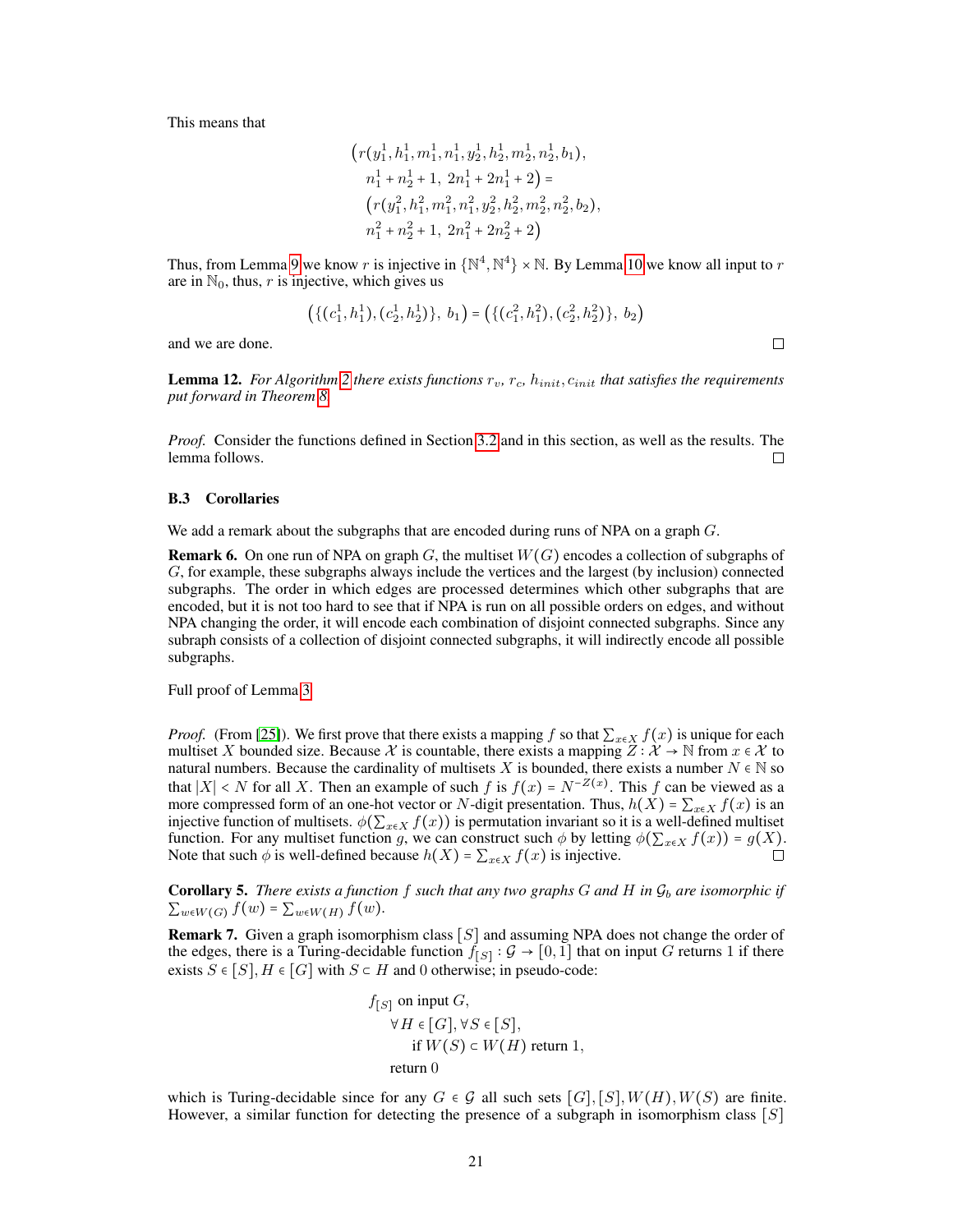This means that

$$
\left(r(y_1^1, h_1^1, m_1^1, n_1^1, y_2^1, h_2^1, m_2^1, n_2^1, b_1),\right)
$$
  
\n
$$
n_1^1 + n_2^1 + 1, 2n_1^1 + 2n_1^1 + 2) =
$$
  
\n
$$
\left(r(y_1^2, h_1^2, m_1^2, n_1^2, y_2^2, h_2^2, m_2^2, n_2^2, b_2),\right)
$$
  
\n
$$
n_1^2 + n_2^2 + 1, 2n_1^2 + 2n_2^2 + 2\right)
$$

Thus, from Lemma [9](#page-19-1) we know r is injective in  $\{N^4, N^4\} \times N$ . By Lemma [10](#page-19-2) we know all input to r are in  $\mathbb{N}_0$ , thus, r is injective, which gives us

$$
\left(\{(c_1^1,h_1^1),(c_2^1,h_2^1)\},\ b_1\right) = \left(\{(c_1^2,h_1^2),(c_2^2,h_2^2)\},\ b_2\right)
$$

and we are done.

**Lemma 12.** For Algorithm [2](#page-5-0) there exists functions  $r_v$ ,  $r_c$ ,  $h_{init}$ ,  $c_{init}$  that satisfies the requirements *put forward in Theorem [8.](#page-5-1)*

*Proof.* Consider the functions defined in Section [3.2](#page-5-2) and in this section, as well as the results. The lemma follows. П

#### B.3 Corollaries

We add a remark about the subgraphs that are encoded during runs of NPA on a graph G.

**Remark 6.** On one run of NPA on graph G, the multiset  $W(G)$  encodes a collection of subgraphs of G, for example, these subgraphs always include the vertices and the largest (by inclusion) connected subgraphs. The order in which edges are processed determines which other subgraphs that are encoded, but it is not too hard to see that if NPA is run on all possible orders on edges, and without NPA changing the order, it will encode each combination of disjoint connected subgraphs. Since any subraph consists of a collection of disjoint connected subgraphs, it will indirectly encode all possible subgraphs.

Full proof of Lemma [3](#page-6-2)

*Proof.* (From [\[25\]](#page-10-1)). We first prove that there exists a mapping f so that  $\sum_{x \in X} f(x)$  is unique for each multiset X bounded size. Because X is countable, there exists a mapping  $Z : \mathcal{X} \to \mathbb{N}$  from  $x \in \mathcal{X}$  to natural numbers. Because the cardinality of multisets X is bounded, there exists a number  $N \in \mathbb{N}$  so that  $|X| < N$  for all X. Then an example of such f is  $f(x) = N^{-Z(x)}$ . This f can be viewed as a more compressed form of an one-hot vector or N-digit presentation. Thus,  $h(X) = \sum_{x \in X} f(x)$  is an injective function of multisets.  $\phi(\sum_{x \in X} f(x))$  is permutation invariant so it is a well-defined multiset function. For any multiset function g, we can construct such  $\phi$  by letting  $\phi(\sum_{x \in X} f(x)) = g(X)$ . Note that such  $\phi$  is well-defined because  $h(X) = \sum_{x \in X} f(x)$  is injective.

**Corollary 5.** There exists a function f such that any two graphs  $G$  and  $H$  in  $\mathcal{G}_b$  are isomorphic if  $\sum_{w \in W(G)} f(w) = \sum_{w \in W(H)} f(w)$ .

**Remark 7.** Given a graph isomorphism class  $[S]$  and assuming NPA does not change the order of the edges, there is a Turing-decidable function  $f_{[S]}$ :  $\mathcal{G} \to [0,1]$  that on input G returns 1 if there exists  $S \in [S], H \in [G]$  with  $S \subset H$  and 0 otherwise; in pseudo-code:

$$
f_{[S]} \text{ on input } G,
$$
  
\n
$$
\forall H \in [G], \forall S \in [S],
$$
  
\nif  $W(S) \subset W(H)$  return 1,  
\nreturn 0

which is Turing-decidable since for any  $G \in \mathcal{G}$  all such sets  $[G], [S], W(H), W(S)$  are finite. However, a similar function for detecting the presence of a subgraph in isomorphism class  $[S]$ 

 $\Box$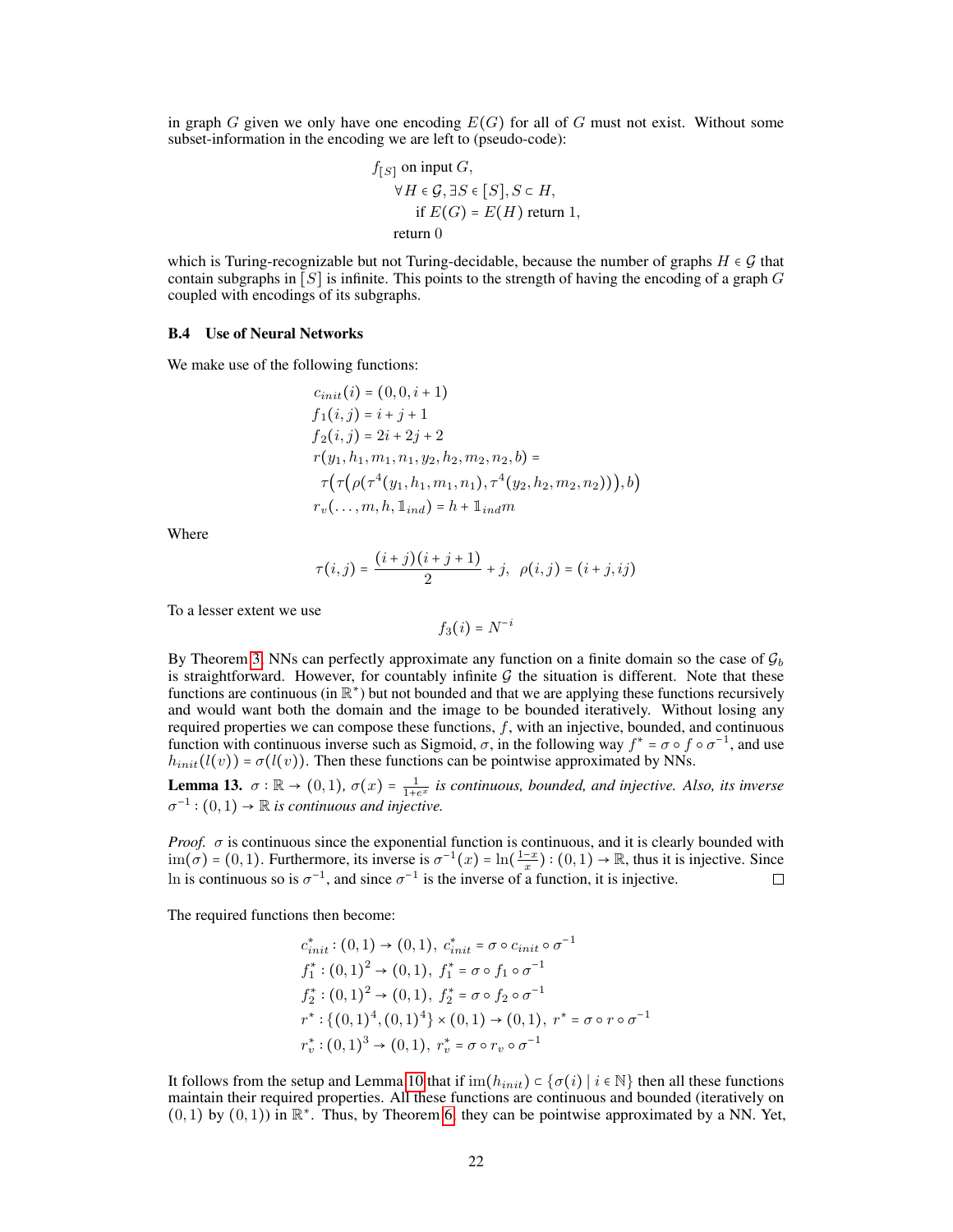in graph G given we only have one encoding  $E(G)$  for all of G must not exist. Without some subset-information in the encoding we are left to (pseudo-code):

$$
f_{[S]} \text{ on input } G,
$$
  
\n
$$
\forall H \in \mathcal{G}, \exists S \in [S], S \subset H,
$$
  
\nif  $E(G) = E(H)$  return 1,  
\nreturn 0

which is Turing-recognizable but not Turing-decidable, because the number of graphs  $H \in \mathcal{G}$  that contain subgraphs in  $[S]$  is infinite. This points to the strength of having the encoding of a graph G coupled with encodings of its subgraphs.

### B.4 Use of Neural Networks

We make use of the following functions:

$$
c_{init}(i) = (0, 0, i + 1)
$$
  
\n
$$
f_1(i, j) = i + j + 1
$$
  
\n
$$
f_2(i, j) = 2i + 2j + 2
$$
  
\n
$$
r(y_1, h_1, m_1, n_1, y_2, h_2, m_2, n_2, b) =
$$
  
\n
$$
\tau(\tau(\rho(\tau^4(y_1, h_1, m_1, n_1), \tau^4(y_2, h_2, m_2, n_2))), b)
$$
  
\n
$$
r_v(\ldots, m, h, 1_{ind}) = h + 1_{ind}m
$$

Where

$$
\tau(i,j) = \frac{(i+j)(i+j+1)}{2} + j, \ \rho(i,j) = (i+j, ij)
$$

To a lesser extent we use

$$
f_3(i) = N^{-i}
$$

By Theorem [3,](#page-2-3) NNs can perfectly approximate any function on a finite domain so the case of  $\mathcal{G}_b$ is straightforward. However, for countably infinite  $G$  the situation is different. Note that these functions are continuous (in  $\mathbb{R}^*$ ) but not bounded and that we are applying these functions recursively and would want both the domain and the image to be bounded iteratively. Without losing any required properties we can compose these functions,  $f$ , with an injective, bounded, and continuous function with continuous inverse such as Sigmoid,  $\sigma$ , in the following way  $f^* = \sigma \circ f \circ \sigma^{-1}$ , and use  $h_{init}(l(v)) = \sigma(l(v))$ . Then these functions can be pointwise approximated by NNs.

**Lemma 13.**  $\sigma : \mathbb{R} \to (0,1)$ ,  $\sigma(x) = \frac{1}{1+e^x}$  is continuous, bounded, and injective. Also, its inverse  $\sigma^{-1}$  :  $(0,1) \rightarrow \mathbb{R}$  *is continuous and injective.* 

*Proof.*  $\sigma$  is continuous since the exponential function is continuous, and it is clearly bounded with  $\text{im}(\sigma) = (0, 1)$ . Furthermore, its inverse is  $\sigma^{-1}(x) = \ln(\frac{1-x}{x})$ :  $(0, 1) \to \mathbb{R}$ , thus it is injective. Since In is continuous so is  $\sigma^{-1}$ , and since  $\sigma^{-1}$  is the inverse of a function, it is injective.  $\Box$ 

The required functions then become:

$$
c_{init}^* : (0,1) \rightarrow (0,1), c_{init}^* = \sigma \circ c_{init} \circ \sigma^{-1}
$$
  
\n
$$
f_1^* : (0,1)^2 \rightarrow (0,1), f_1^* = \sigma \circ f_1 \circ \sigma^{-1}
$$
  
\n
$$
f_2^* : (0,1)^2 \rightarrow (0,1), f_2^* = \sigma \circ f_2 \circ \sigma^{-1}
$$
  
\n
$$
r^* : \{(0,1)^4, (0,1)^4\} \times (0,1) \rightarrow (0,1), r^* = \sigma \circ r \circ \sigma^{-1}
$$
  
\n
$$
r_v^* : (0,1)^3 \rightarrow (0,1), r_v^* = \sigma \circ r_v \circ \sigma^{-1}
$$

It follows from the setup and Lemma [10](#page-19-2) that if  $\text{im}(h_{init}) \subset \{\sigma(i) \mid i \in \mathbb{N}\}\$  then all these functions maintain their required properties. All these functions are continuous and bounded (iteratively on  $(0,1)$  by  $(0,1)$ ) in  $\mathbb{R}^*$ . Thus, by Theorem [6,](#page-3-2) they can be pointwise approximated by a NN. Yet,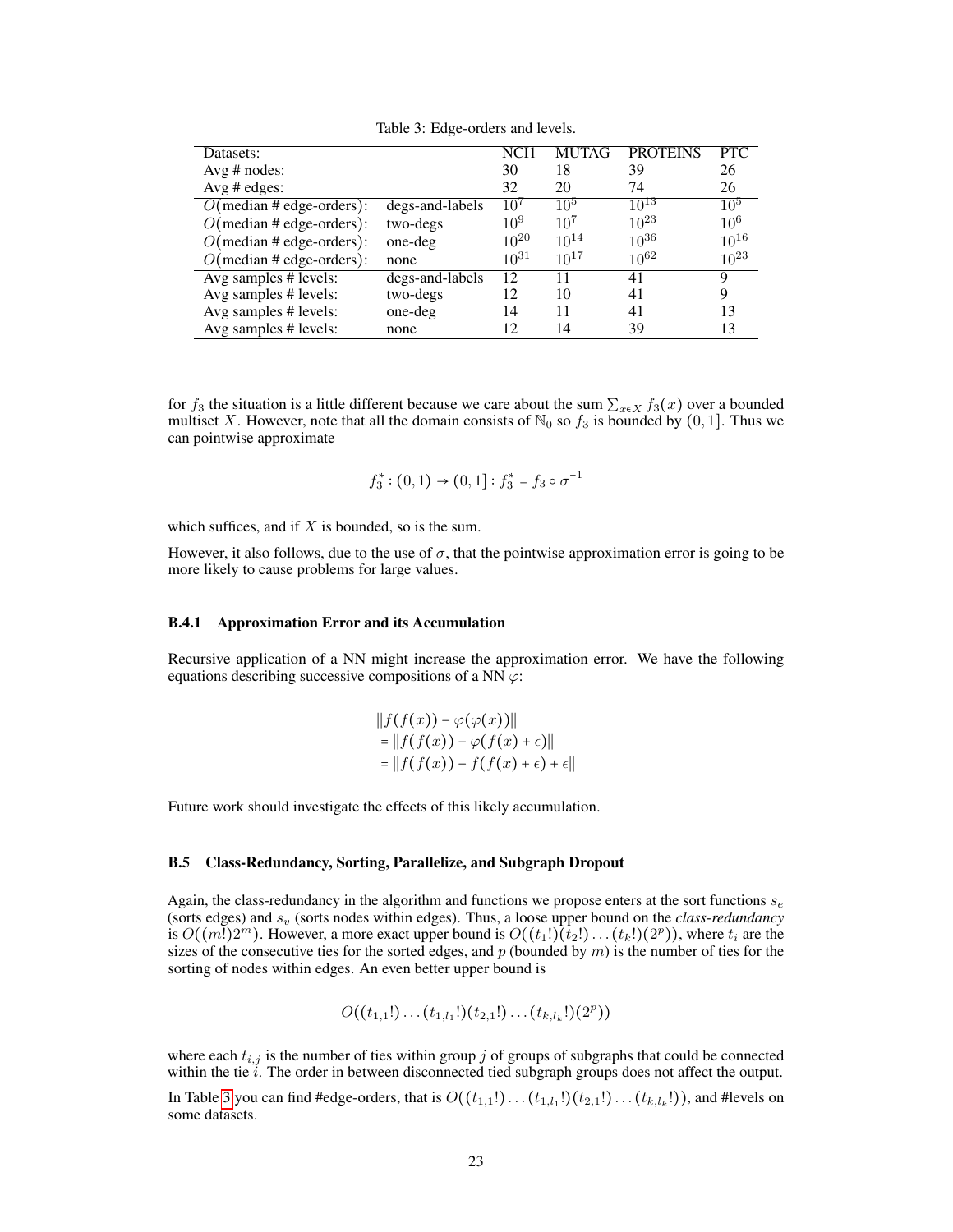<span id="page-22-0"></span>

| Datasets:                   |                 | NCI 1     | <b>MUTAG</b> | <b>PROTEINS</b> | <b>PTC</b> |
|-----------------------------|-----------------|-----------|--------------|-----------------|------------|
| Avg $#$ nodes:              |                 | 30        | 18           | 39              | 26         |
| Avg $#$ edges:              |                 | 32        | 20           | 74              | 26         |
| $O$ (median # edge-orders): | degs-and-labels | $10^{7}$  | $10^{5}$     | $10^{13}$       | $10^{5}$   |
| $O$ (median # edge-orders): | two-degs        | $10^{9}$  | $10^{7}$     | $10^{23}$       | $10^{6}$   |
| $O$ (median # edge-orders): | one-deg         | $10^{20}$ | $10^{14}$    | $10^{36}$       | $10^{16}$  |
| $O$ (median # edge-orders): | none            | $10^{31}$ | $10^{17}$    | $10^{62}$       | $10^{23}$  |
| Avg samples # levels:       | degs-and-labels | 12        |              | 41              | 9          |
| Avg samples # levels:       | two-degs        | 12        | 10           | 41              | 9          |
| Avg samples # levels:       | one-deg         | 14        | 11           | 41              | 13         |
| Avg samples # levels:       | none            | 12        | 14           | 39              | 13         |

Table 3: Edge-orders and levels.

for  $f_3$  the situation is a little different because we care about the sum  $\sum_{x \in X} f_3(x)$  over a bounded multiset X. However, note that all the domain consists of  $\mathbb{N}_0$  so  $f_3$  is bounded by  $(0, 1]$ . Thus we can pointwise approximate

$$
f_3^* : (0,1) \to (0,1] : f_3^* = f_3 \circ \sigma^{-1}
$$

which suffices, and if  $X$  is bounded, so is the sum.

However, it also follows, due to the use of  $\sigma$ , that the pointwise approximation error is going to be more likely to cause problems for large values.

### B.4.1 Approximation Error and its Accumulation

Recursive application of a NN might increase the approximation error. We have the following equations describing successive compositions of a NN  $\varphi$ :

$$
||f(f(x)) - \varphi(\varphi(x))||
$$
  
= 
$$
||f(f(x)) - \varphi(f(x) + \epsilon)||
$$
  
= 
$$
||f(f(x)) - f(f(x) + \epsilon) + \epsilon||
$$

Future work should investigate the effects of this likely accumulation.

### B.5 Class-Redundancy, Sorting, Parallelize, and Subgraph Dropout

Again, the class-redundancy in the algorithm and functions we propose enters at the sort functions  $s_e$ (sorts edges) and  $s_v$  (sorts nodes within edges). Thus, a loose upper bound on the *class-redundancy* is  $O((m!)2^m)$ . However, a more exact upper bound is  $O((t_1!) (t_2!) \dots (t_k!)(2^p))$ , where  $t_i$  are the sizes of the consecutive ties for the sorted edges, and  $p$  (bounded by  $m$ ) is the number of ties for the sorting of nodes within edges. An even better upper bound is

$$
O((t_{1,1}!)\dots (t_{1,l_1}!)(t_{2,1}!)\dots (t_{k,l_k}!)(2^p))
$$

where each  $t_{i,j}$  is the number of ties within group j of groups of subgraphs that could be connected within the tie  $i$ . The order in between disconnected tied subgraph groups does not affect the output.

In Table [3](#page-22-0) you can find #edge-orders, that is  $O((t_{1,1}!) \dots (t_{1,l_1}!)(t_{2,1}!) \dots (t_{k,l_k}!))$ , and #levels on some datasets.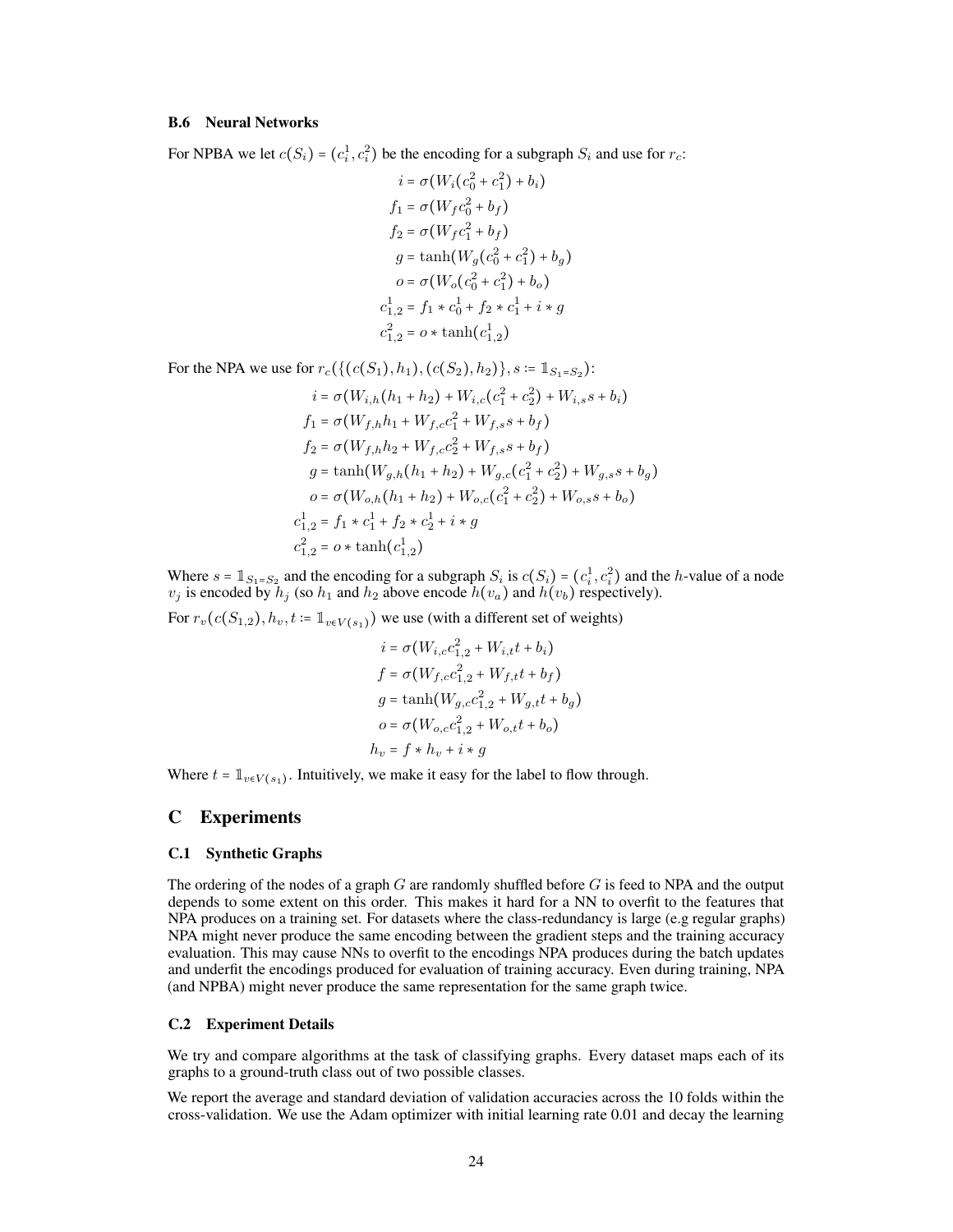### B.6 Neural Networks

For NPBA we let  $c(S_i) = (c_i^1, c_i^2)$  be the encoding for a subgraph  $S_i$  and use for  $r_c$ :

$$
i = \sigma(W_i(c_0^2 + c_1^2) + b_i)
$$
  
\n
$$
f_1 = \sigma(W_f c_0^2 + b_f)
$$
  
\n
$$
f_2 = \sigma(W_f c_1^2 + b_f)
$$
  
\n
$$
g = \tanh(W_g(c_0^2 + c_1^2) + b_g)
$$
  
\n
$$
o = \sigma(W_o(c_0^2 + c_1^2) + b_o)
$$
  
\n
$$
c_{1,2}^1 = f_1 * c_0^1 + f_2 * c_1^1 + i * g
$$
  
\n
$$
c_{1,2}^2 = o * \tanh(c_{1,2}^1)
$$

For the NPA we use for  $r_c(\{(c(S_1), h_1), (c(S_2), h_2)\}, s := \mathbb{1}_{S_1 = S_2})$ :

$$
i = \sigma(W_{i,h}(h_1 + h_2) + W_{i,c}(c_1^2 + c_2^2) + W_{i,s}s + b_i)
$$
  
\n
$$
f_1 = \sigma(W_{f,h}h_1 + W_{f,c}c_1^2 + W_{f,s}s + b_f)
$$
  
\n
$$
f_2 = \sigma(W_{f,h}h_2 + W_{f,c}c_2^2 + W_{f,s}s + b_f)
$$
  
\n
$$
g = \tanh(W_{g,h}(h_1 + h_2) + W_{g,c}(c_1^2 + c_2^2) + W_{g,s}s + b_g)
$$
  
\n
$$
o = \sigma(W_{o,h}(h_1 + h_2) + W_{o,c}(c_1^2 + c_2^2) + W_{o,s}s + b_o)
$$
  
\n
$$
c_{1,2}^1 = f_1 * c_1^1 + f_2 * c_2^1 + i * g
$$
  
\n
$$
c_{1,2}^2 = o * \tanh(c_{1,2}^1)
$$

Where  $s = \mathbb{1}_{S_1 = S_2}$  and the encoding for a subgraph  $S_i$  is  $c(S_i) = (c_i^1, c_i^2)$  and the h-value of a node  $v_j$  is encoded by  $h_j$  (so  $h_1$  and  $h_2$  above encode  $h(v_a)$  and  $h(v_b)$  respectively).

For  $r_v(c(S_{1,2}), h_v, t := \mathbb{1}_{v \in V(s_1)})$  we use (with a different set of weights)

$$
i = \sigma(W_{i,c}c_{1,2}^2 + W_{i,t}t + b_i)
$$
  
\n
$$
f = \sigma(W_{f,c}c_{1,2}^2 + W_{f,t}t + b_f)
$$
  
\n
$$
g = \tanh(W_{g,c}c_{1,2}^2 + W_{g,t}t + b_g)
$$
  
\n
$$
o = \sigma(W_{o,c}c_{1,2}^2 + W_{o,t}t + b_o)
$$
  
\n
$$
h_v = f * h_v + i * g
$$

Where  $t = \mathbb{1}_{v \in V(s_1)}$ . Intuitively, we make it easy for the label to flow through.

### C Experiments

### C.1 Synthetic Graphs

The ordering of the nodes of a graph  $G$  are randomly shuffled before  $G$  is feed to NPA and the output depends to some extent on this order. This makes it hard for a NN to overfit to the features that NPA produces on a training set. For datasets where the class-redundancy is large (e.g regular graphs) NPA might never produce the same encoding between the gradient steps and the training accuracy evaluation. This may cause NNs to overfit to the encodings NPA produces during the batch updates and underfit the encodings produced for evaluation of training accuracy. Even during training, NPA (and NPBA) might never produce the same representation for the same graph twice.

### C.2 Experiment Details

We try and compare algorithms at the task of classifying graphs. Every dataset maps each of its graphs to a ground-truth class out of two possible classes.

We report the average and standard deviation of validation accuracies across the 10 folds within the cross-validation. We use the Adam optimizer with initial learning rate 0.01 and decay the learning